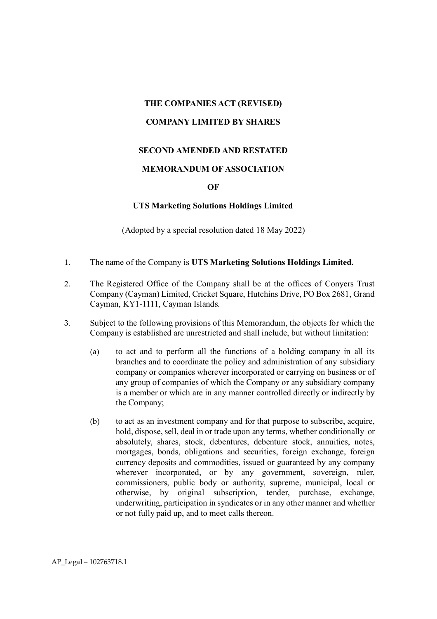# **THE COMPANIES ACT (REVISED) COMPANY LIMITED BY SHARES**

# **SECOND AMENDED AND RESTATED**

# **MEMORANDUM OF ASSOCIATION**

# **OF**

# **UTS Marketing Solutions Holdings Limited**

(Adopted by a special resolution dated 18 May 2022)

- 1. The name of the Company is **UTS Marketing Solutions Holdings Limited.**
- 2. The Registered Office of the Company shall be at the offices of Conyers Trust Company (Cayman) Limited, Cricket Square, Hutchins Drive, PO Box 2681, Grand Cayman, KY1-1111, Cayman Islands.
- 3. Subject to the following provisions of this Memorandum, the objects for which the Company is established are unrestricted and shall include, but without limitation:
	- (a) to act and to perform all the functions of a holding company in all its branches and to coordinate the policy and administration of any subsidiary company or companies wherever incorporated or carrying on business or of any group of companies of which the Company or any subsidiary company is a member or which are in any manner controlled directly or indirectly by the Company;
	- (b) to act as an investment company and for that purpose to subscribe, acquire, hold, dispose, sell, deal in or trade upon any terms, whether conditionally or absolutely, shares, stock, debentures, debenture stock, annuities, notes, mortgages, bonds, obligations and securities, foreign exchange, foreign currency deposits and commodities, issued or guaranteed by any company wherever incorporated, or by any government, sovereign, ruler, commissioners, public body or authority, supreme, municipal, local or otherwise, by original subscription, tender, purchase, exchange, underwriting, participation in syndicates or in any other manner and whether or not fully paid up, and to meet calls thereon.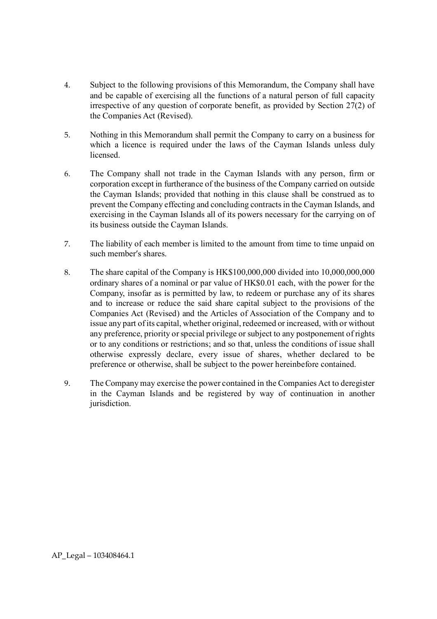- 4. Subject to the following provisions of this Memorandum, the Company shall have and be capable of exercising all the functions of a natural person of full capacity irrespective of any question of corporate benefit, as provided by Section 27(2) of the Companies Act (Revised).
- 5. Nothing in this Memorandum shall permit the Company to carry on a business for which a licence is required under the laws of the Cayman Islands unless duly licensed.
- 6. The Company shall not trade in the Cayman Islands with any person, firm or corporation except in furtherance of the business of the Company carried on outside the Cayman Islands; provided that nothing in this clause shall be construed as to prevent the Company effecting and concluding contracts in the Cayman Islands, and exercising in the Cayman Islands all of its powers necessary for the carrying on of its business outside the Cayman Islands.
- 7. The liability of each member is limited to the amount from time to time unpaid on such member's shares.
- 8. The share capital of the Company is HK\$100,000,000 divided into 10,000,000,000 ordinary shares of a nominal or par value of HK\$0.01 each, with the power for the Company, insofar as is permitted by law, to redeem or purchase any of its shares and to increase or reduce the said share capital subject to the provisions of the Companies Act (Revised) and the Articles of Association of the Company and to issue any part of its capital, whether original, redeemed or increased, with or without any preference, priority or special privilege or subject to any postponement of rights or to any conditions or restrictions; and so that, unless the conditions of issue shall otherwise expressly declare, every issue of shares, whether declared to be preference or otherwise, shall be subject to the power hereinbefore contained.
- 9. The Company may exercise the power contained in the Companies Act to deregister in the Cayman Islands and be registered by way of continuation in another jurisdiction.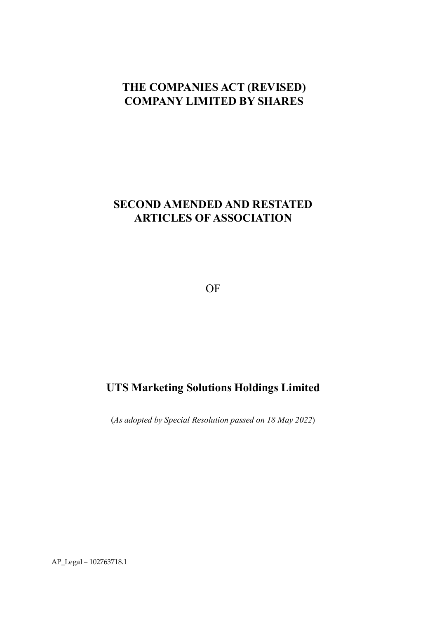# **THE COMPANIES ACT (REVISED) COMPANY LIMITED BY SHARES**

# **SECOND AMENDED AND RESTATED ARTICLES OF ASSOCIATION**

OF

# **UTS Marketing Solutions Holdings Limited**

(*As adopted by Special Resolution passed on 18 May 2022*)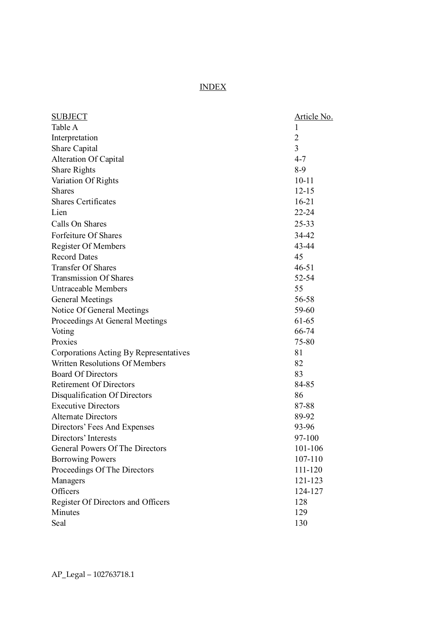# INDEX

| <b>SUBJECT</b>                         | <u> Article No.</u> |
|----------------------------------------|---------------------|
| Table A                                | 1                   |
| Interpretation                         | $\overline{2}$      |
| Share Capital                          | 3                   |
| Alteration Of Capital                  | $4 - 7$             |
| <b>Share Rights</b>                    | $8-9$               |
| Variation Of Rights                    | $10 - 11$           |
| <b>Shares</b>                          | $12 - 15$           |
| <b>Shares Certificates</b>             | $16 - 21$           |
| Lien                                   | 22-24               |
| Calls On Shares                        | 25-33               |
| Forfeiture Of Shares                   | 34-42               |
| <b>Register Of Members</b>             | 43-44               |
| <b>Record Dates</b>                    | 45                  |
| <b>Transfer Of Shares</b>              | $46 - 51$           |
| <b>Transmission Of Shares</b>          | 52-54               |
| Untraceable Members                    | 55                  |
| <b>General Meetings</b>                | 56-58               |
| Notice Of General Meetings             | 59-60               |
| Proceedings At General Meetings        | 61-65               |
| Voting                                 | 66-74               |
| Proxies                                | 75-80               |
| Corporations Acting By Representatives | 81                  |
| <b>Written Resolutions Of Members</b>  | 82                  |
| <b>Board Of Directors</b>              | 83                  |
| <b>Retirement Of Directors</b>         | 84-85               |
| Disqualification Of Directors          | 86                  |
| <b>Executive Directors</b>             | 87-88               |
| <b>Alternate Directors</b>             | 89-92               |
| Directors' Fees And Expenses           | 93-96               |
| Directors' Interests                   | 97-100              |
| General Powers Of The Directors        | 101-106             |
| <b>Borrowing Powers</b>                | 107-110             |
| Proceedings Of The Directors           | 111-120             |
| Managers                               | 121-123             |
| Officers                               | 124-127             |
| Register Of Directors and Officers     | 128                 |
| Minutes                                | 129                 |
| Seal                                   | 130                 |
|                                        |                     |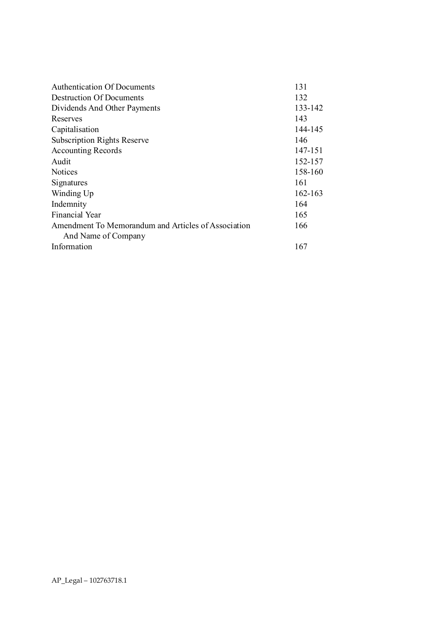| 131     |
|---------|
| 132     |
| 133-142 |
| 143     |
| 144-145 |
| 146     |
| 147-151 |
| 152-157 |
| 158-160 |
| 161     |
| 162-163 |
| 164     |
| 165     |
| 166     |
|         |
| 167     |
|         |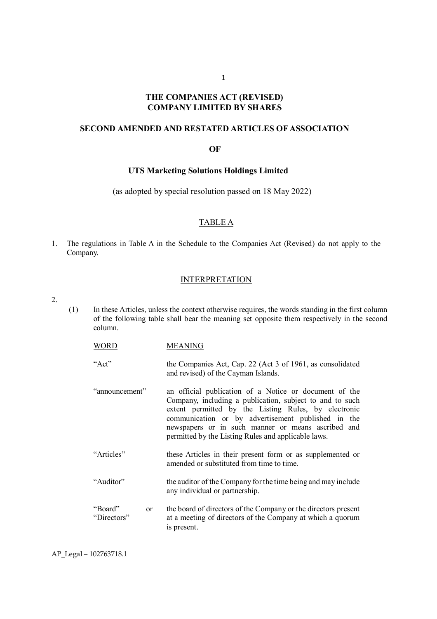# **THE COMPANIES ACT (REVISED) COMPANY LIMITED BY SHARES**

#### **SECOND AMENDED AND RESTATED ARTICLES OF ASSOCIATION**

#### **OF**

#### **UTS Marketing Solutions Holdings Limited**

(as adopted by special resolution passed on 18 May 2022)

#### TABLE A

1. The regulations in Table A in the Schedule to the Companies Act (Revised) do not apply to the Company.

#### INTERPRETATION

2.

- (1) In these Articles, unless the context otherwise requires, the words standing in the first column of the following table shall bear the meaning set opposite them respectively in the second column.
	- WORD MEANING
	- "Act" the Companies Act, Cap. 22 (Act 3 of 1961, as consolidated and revised) of the Cayman Islands.
	- "announcement" an official publication of a Notice or document of the Company, including a publication, subject to and to such extent permitted by the Listing Rules, by electronic communication or by advertisement published in the newspapers or in such manner or means ascribed and permitted by the Listing Rules and applicable laws.
	- "Articles" these Articles in their present form or as supplemented or amended or substituted from time to time.
	- "Auditor" the auditor of the Company for the time being and may include any individual or partnership.
	- "Board" or "Directors" the board of directors of the Company or the directors present at a meeting of directors of the Company at which a quorum is present.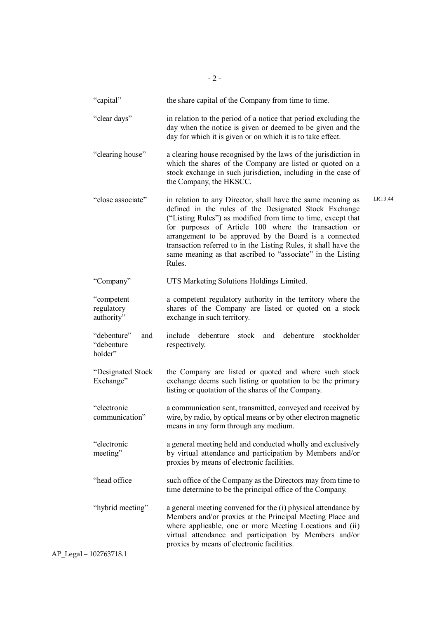| "capital"                                   | the share capital of the Company from time to time.                                                                                                                                                                                                                                                                                                                                                                                                           |
|---------------------------------------------|---------------------------------------------------------------------------------------------------------------------------------------------------------------------------------------------------------------------------------------------------------------------------------------------------------------------------------------------------------------------------------------------------------------------------------------------------------------|
| "clear days"                                | in relation to the period of a notice that period excluding the<br>day when the notice is given or deemed to be given and the<br>day for which it is given or on which it is to take effect.                                                                                                                                                                                                                                                                  |
| "clearing house"                            | a clearing house recognised by the laws of the jurisdiction in<br>which the shares of the Company are listed or quoted on a<br>stock exchange in such jurisdiction, including in the case of<br>the Company, the HKSCC.                                                                                                                                                                                                                                       |
| "close associate"                           | LR13.44<br>in relation to any Director, shall have the same meaning as<br>defined in the rules of the Designated Stock Exchange<br>("Listing Rules") as modified from time to time, except that<br>for purposes of Article 100 where the transaction or<br>arrangement to be approved by the Board is a connected<br>transaction referred to in the Listing Rules, it shall have the<br>same meaning as that ascribed to "associate" in the Listing<br>Rules. |
| "Company"                                   | UTS Marketing Solutions Holdings Limited.                                                                                                                                                                                                                                                                                                                                                                                                                     |
| "competent<br>regulatory<br>authority"      | a competent regulatory authority in the territory where the<br>shares of the Company are listed or quoted on a stock<br>exchange in such territory.                                                                                                                                                                                                                                                                                                           |
| "debenture"<br>and<br>"debenture<br>holder" | include<br>debenture<br>stock and<br>debenture<br>stockholder<br>respectively.                                                                                                                                                                                                                                                                                                                                                                                |
| "Designated Stock<br>Exchange"              | the Company are listed or quoted and where such stock<br>exchange deems such listing or quotation to be the primary<br>listing or quotation of the shares of the Company.                                                                                                                                                                                                                                                                                     |
| "electronic<br>communication"               | a communication sent, transmitted, conveyed and received by<br>wire, by radio, by optical means or by other electron magnetic<br>means in any form through any medium.                                                                                                                                                                                                                                                                                        |
| "electronic<br>meeting"                     | a general meeting held and conducted wholly and exclusively<br>by virtual attendance and participation by Members and/or<br>proxies by means of electronic facilities.                                                                                                                                                                                                                                                                                        |
| "head office                                | such office of the Company as the Directors may from time to<br>time determine to be the principal office of the Company.                                                                                                                                                                                                                                                                                                                                     |
| "hybrid meeting"                            | a general meeting convened for the (i) physical attendance by<br>Members and/or proxies at the Principal Meeting Place and<br>where applicable, one or more Meeting Locations and (ii)<br>virtual attendance and participation by Members and/or<br>proxies by means of electronic facilities.                                                                                                                                                                |

 $- 2 -$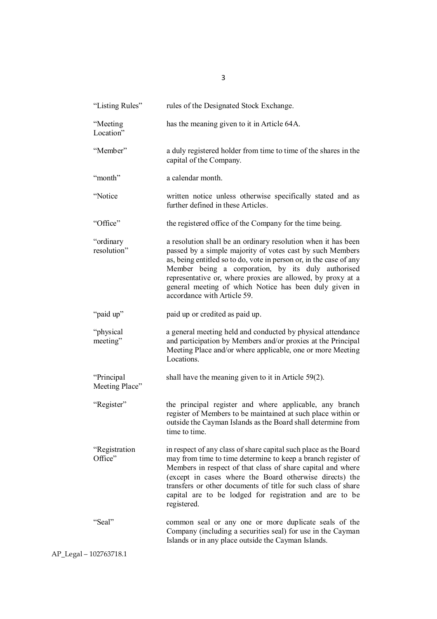| "Listing Rules"              | rules of the Designated Stock Exchange.                                                                                                                                                                                                                                                                                                                                                                        |
|------------------------------|----------------------------------------------------------------------------------------------------------------------------------------------------------------------------------------------------------------------------------------------------------------------------------------------------------------------------------------------------------------------------------------------------------------|
| "Meeting<br>Location"        | has the meaning given to it in Article 64A.                                                                                                                                                                                                                                                                                                                                                                    |
| "Member"                     | a duly registered holder from time to time of the shares in the<br>capital of the Company.                                                                                                                                                                                                                                                                                                                     |
| "month"                      | a calendar month.                                                                                                                                                                                                                                                                                                                                                                                              |
| "Notice                      | written notice unless otherwise specifically stated and as<br>further defined in these Articles.                                                                                                                                                                                                                                                                                                               |
| "Office"                     | the registered office of the Company for the time being.                                                                                                                                                                                                                                                                                                                                                       |
| "ordinary<br>resolution"     | a resolution shall be an ordinary resolution when it has been<br>passed by a simple majority of votes cast by such Members<br>as, being entitled so to do, vote in person or, in the case of any<br>Member being a corporation, by its duly authorised<br>representative or, where proxies are allowed, by proxy at a<br>general meeting of which Notice has been duly given in<br>accordance with Article 59. |
| "paid up"                    | paid up or credited as paid up.                                                                                                                                                                                                                                                                                                                                                                                |
| "physical<br>meeting"        | a general meeting held and conducted by physical attendance<br>and participation by Members and/or proxies at the Principal<br>Meeting Place and/or where applicable, one or more Meeting<br>Locations.                                                                                                                                                                                                        |
| "Principal<br>Meeting Place" | shall have the meaning given to it in Article $59(2)$ .                                                                                                                                                                                                                                                                                                                                                        |
| "Register"                   | the principal register and where applicable, any branch<br>register of Members to be maintained at such place within or<br>outside the Cayman Islands as the Board shall determine from<br>time to time.                                                                                                                                                                                                       |
| "Registration<br>Office"     | in respect of any class of share capital such place as the Board<br>may from time to time determine to keep a branch register of<br>Members in respect of that class of share capital and where<br>(except in cases where the Board otherwise directs) the<br>transfers or other documents of title for such class of share<br>capital are to be lodged for registration and are to be<br>registered.          |
| "Seal"                       | common seal or any one or more duplicate seals of the<br>Company (including a securities seal) for use in the Cayman<br>Islands or in any place outside the Cayman Islands.                                                                                                                                                                                                                                    |

3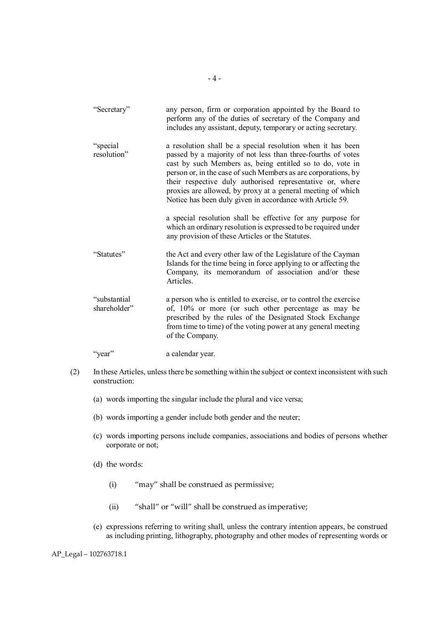| "Secretary"                  | any person, firm or corporation appointed by the Board to<br>perform any of the duties of secretary of the Company and<br>includes any assistant, deputy, temporary or acting secretary.                                                                                                                                                                                                                                                            |
|------------------------------|-----------------------------------------------------------------------------------------------------------------------------------------------------------------------------------------------------------------------------------------------------------------------------------------------------------------------------------------------------------------------------------------------------------------------------------------------------|
| "special<br>resolution"      | a resolution shall be a special resolution when it has been<br>passed by a majority of not less than three-fourths of votes<br>cast by such Members as, being entitled so to do, vote in<br>person or, in the case of such Members as are corporations, by<br>their respective duly authorised representative or, where<br>proxies are allowed, by proxy at a general meeting of which<br>Notice has been duly given in accordance with Article 59. |
|                              | a special resolution shall be effective for any purpose for<br>which an ordinary resolution is expressed to be required under<br>any provision of these Articles or the Statutes.                                                                                                                                                                                                                                                                   |
| "Statutes"                   | the Act and every other law of the Legislature of the Cayman<br>Islands for the time being in force applying to or affecting the<br>Company, its memorandum of association and/or these<br>Articles.                                                                                                                                                                                                                                                |
| "substantial<br>shareholder" | a person who is entitled to exercise, or to control the exercise<br>of, 10% or more (or such other percentage as may be<br>prescribed by the rules of the Designated Stock Exchange<br>from time to time) of the voting power at any general meeting<br>of the Company.                                                                                                                                                                             |
| "year"                       | a calendar year.                                                                                                                                                                                                                                                                                                                                                                                                                                    |

- (2) In these Articles, unless there be something within the subject or context inconsistent with such construction:
	- (a) words importing the singular include the plural and vice versa;
	- (b) words importing a gender include both gender and the neuter;
	- (c) words importing persons include companies, associations and bodies of persons whether corporate or not;
	- (d) the words:
		- (i) "may" shall be construed as permissive;
		- (ii) "shall" or "will" shall be construed as imperative;
	- (e) expressions referring to writing shall, unless the contrary intention appears, be construed as including printing, lithography, photography and other modes of representing words or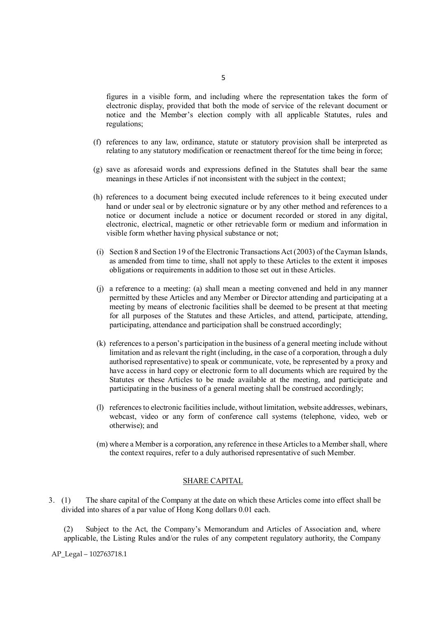figures in a visible form, and including where the representation takes the form of electronic display, provided that both the mode of service of the relevant document or notice and the Member's election comply with all applicable Statutes, rules and regulations;

- (f) references to any law, ordinance, statute or statutory provision shall be interpreted as relating to any statutory modification or reenactment thereof for the time being in force;
- (g) save as aforesaid words and expressions defined in the Statutes shall bear the same meanings in these Articles if not inconsistent with the subject in the context;
- (h) references to a document being executed include references to it being executed under hand or under seal or by electronic signature or by any other method and references to a notice or document include a notice or document recorded or stored in any digital, electronic, electrical, magnetic or other retrievable form or medium and information in visible form whether having physical substance or not;
- (i) Section 8 and Section 19 of the Electronic Transactions Act (2003) of the Cayman Islands, as amended from time to time, shall not apply to these Articles to the extent it imposes obligations or requirements in addition to those set out in these Articles.
- (j) a reference to a meeting: (a) shall mean a meeting convened and held in any manner permitted by these Articles and any Member or Director attending and participating at a meeting by means of electronic facilities shall be deemed to be present at that meeting for all purposes of the Statutes and these Articles, and attend, participate, attending, participating, attendance and participation shall be construed accordingly;
- (k) references to a person's participation in the business of a general meeting include without limitation and as relevant the right (including, in the case of a corporation, through a duly authorised representative) to speak or communicate, vote, be represented by a proxy and have access in hard copy or electronic form to all documents which are required by the Statutes or these Articles to be made available at the meeting, and participate and participating in the business of a general meeting shall be construed accordingly;
- (l) references to electronic facilities include, without limitation, website addresses, webinars, webcast, video or any form of conference call systems (telephone, video, web or otherwise); and
- (m) where a Member is a corporation, any reference in these Articles to a Member shall, where the context requires, refer to a duly authorised representative of such Member.

#### SHARE CAPITAL

3. (1) The share capital of the Company at the date on which these Articles come into effect shall be divided into shares of a par value of Hong Kong dollars 0.01 each.

(2) Subject to the Act, the Company's Memorandum and Articles of Association and, where applicable, the Listing Rules and/or the rules of any competent regulatory authority, the Company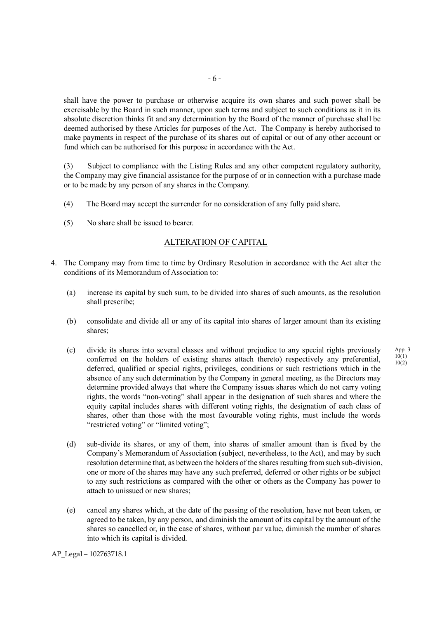shall have the power to purchase or otherwise acquire its own shares and such power shall be exercisable by the Board in such manner, upon such terms and subject to such conditions as it in its absolute discretion thinks fit and any determination by the Board of the manner of purchase shall be deemed authorised by these Articles for purposes of the Act. The Company is hereby authorised to make payments in respect of the purchase of its shares out of capital or out of any other account or fund which can be authorised for this purpose in accordance with the Act.

(3) Subject to compliance with the Listing Rules and any other competent regulatory authority, the Company may give financial assistance for the purpose of or in connection with a purchase made or to be made by any person of any shares in the Company.

- (4) The Board may accept the surrender for no consideration of any fully paid share.
- (5) No share shall be issued to bearer.

#### ALTERATION OF CAPITAL

- 4. The Company may from time to time by Ordinary Resolution in accordance with the Act alter the conditions of its Memorandum of Association to:
	- (a) increase its capital by such sum, to be divided into shares of such amounts, as the resolution shall prescribe;
	- (b) consolidate and divide all or any of its capital into shares of larger amount than its existing shares;
	- (c) divide its shares into several classes and without prejudice to any special rights previously conferred on the holders of existing shares attach thereto) respectively any preferential, deferred, qualified or special rights, privileges, conditions or such restrictions which in the absence of any such determination by the Company in general meeting, as the Directors may determine provided always that where the Company issues shares which do not carry voting rights, the words "non-voting" shall appear in the designation of such shares and where the equity capital includes shares with different voting rights, the designation of each class of shares, other than those with the most favourable voting rights, must include the words "restricted voting" or "limited voting";
	- (d) sub-divide its shares, or any of them, into shares of smaller amount than is fixed by the Company's Memorandum of Association (subject, nevertheless, to the Act), and may by such resolution determine that, as between the holders of the shares resulting from such sub-division, one or more of the shares may have any such preferred, deferred or other rights or be subject to any such restrictions as compared with the other or others as the Company has power to attach to unissued or new shares;
	- (e) cancel any shares which, at the date of the passing of the resolution, have not been taken, or agreed to be taken, by any person, and diminish the amount of its capital by the amount of the shares so cancelled or, in the case of shares, without par value, diminish the number of shares into which its capital is divided.

App. 3 10(1) 10(2)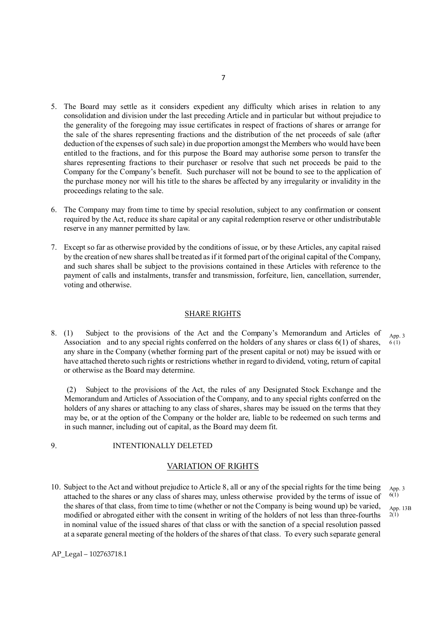- 5. The Board may settle as it considers expedient any difficulty which arises in relation to any consolidation and division under the last preceding Article and in particular but without prejudice to the generality of the foregoing may issue certificates in respect of fractions of shares or arrange for the sale of the shares representing fractions and the distribution of the net proceeds of sale (after deduction of the expenses of such sale) in due proportion amongst the Members who would have been entitled to the fractions, and for this purpose the Board may authorise some person to transfer the shares representing fractions to their purchaser or resolve that such net proceeds be paid to the Company for the Company's benefit. Such purchaser will not be bound to see to the application of the purchase money nor will his title to the shares be affected by any irregularity or invalidity in the proceedings relating to the sale.
- 6. The Company may from time to time by special resolution, subject to any confirmation or consent required by the Act, reduce its share capital or any capital redemption reserve or other undistributable reserve in any manner permitted by law.
- 7. Except so far as otherwise provided by the conditions of issue, or by these Articles, any capital raised by the creation of new shares shall be treated as if it formed part of the original capital of the Company, and such shares shall be subject to the provisions contained in these Articles with reference to the payment of calls and instalments, transfer and transmission, forfeiture, lien, cancellation, surrender, voting and otherwise.

#### SHARE RIGHTS

8. (1) Subject to the provisions of the Act and the Company's Memorandum and Articles of Association and to any special rights conferred on the holders of any shares or class  $6(1)$  of shares, any share in the Company (whether forming part of the present capital or not) may be issued with or have attached thereto such rights or restrictions whether in regard to dividend, voting, return of capital or otherwise as the Board may determine. App. 3  $6(1)$ 

(2) Subject to the provisions of the Act, the rules of any Designated Stock Exchange and the Memorandum and Articles of Association of the Company, and to any special rights conferred on the holders of any shares or attaching to any class of shares, shares may be issued on the terms that they may be, or at the option of the Company or the holder are, liable to be redeemed on such terms and in such manner, including out of capital, as the Board may deem fit.

#### 9. INTENTIONALLY DELETED

#### VARIATION OF RIGHTS

10. Subject to the Act and without prejudice to Article 8, all or any of the special rights for the time being attached to the shares or any class of shares may, unless otherwise provided by the terms of issue of the shares of that class, from time to time (whether or not the Company is being wound up) be varied, modified or abrogated either with the consent in writing of the holders of not less than three-fourths in nominal value of the issued shares of that class or with the sanction of a special resolution passed at a separate general meeting of the holders of the shares of that class. To every such separate general

App. 3  $6(1)$ 

App. 13B  $2(1)$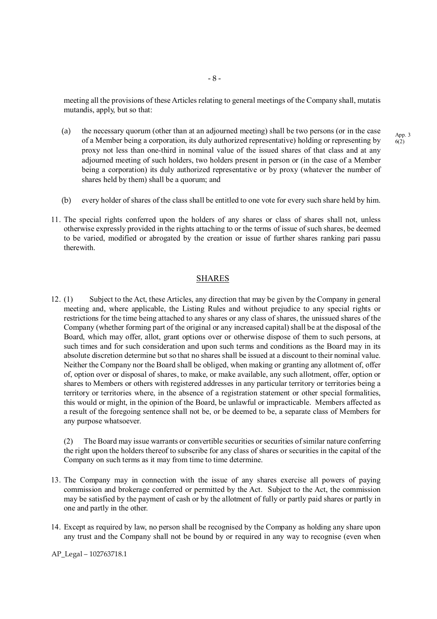meeting all the provisions of these Articles relating to general meetings of the Company shall, mutatis mutandis, apply, but so that:

- (a) the necessary quorum (other than at an adjourned meeting) shall be two persons (or in the case of a Member being a corporation, its duly authorized representative) holding or representing by proxy not less than one-third in nominal value of the issued shares of that class and at any adjourned meeting of such holders, two holders present in person or (in the case of a Member being a corporation) its duly authorized representative or by proxy (whatever the number of shares held by them) shall be a quorum; and
- (b) every holder of shares of the class shall be entitled to one vote for every such share held by him.
- 11. The special rights conferred upon the holders of any shares or class of shares shall not, unless otherwise expressly provided in the rights attaching to or the terms of issue of such shares, be deemed to be varied, modified or abrogated by the creation or issue of further shares ranking pari passu therewith.

#### SHARES

12. (1) Subject to the Act, these Articles, any direction that may be given by the Company in general meeting and, where applicable, the Listing Rules and without prejudice to any special rights or restrictions for the time being attached to any shares or any class of shares, the unissued shares of the Company (whether forming part of the original or any increased capital) shall be at the disposal of the Board, which may offer, allot, grant options over or otherwise dispose of them to such persons, at such times and for such consideration and upon such terms and conditions as the Board may in its absolute discretion determine but so that no shares shall be issued at a discount to their nominal value. Neither the Company nor the Board shall be obliged, when making or granting any allotment of, offer of, option over or disposal of shares, to make, or make available, any such allotment, offer, option or shares to Members or others with registered addresses in any particular territory or territories being a territory or territories where, in the absence of a registration statement or other special formalities, this would or might, in the opinion of the Board, be unlawful or impracticable. Members affected as a result of the foregoing sentence shall not be, or be deemed to be, a separate class of Members for any purpose whatsoever.

(2) The Board may issue warrants or convertible securities or securities of similar nature conferring the right upon the holders thereof to subscribe for any class of shares or securities in the capital of the Company on such terms as it may from time to time determine.

- 13. The Company may in connection with the issue of any shares exercise all powers of paying commission and brokerage conferred or permitted by the Act. Subject to the Act, the commission may be satisfied by the payment of cash or by the allotment of fully or partly paid shares or partly in one and partly in the other.
- 14. Except as required by law, no person shall be recognised by the Company as holding any share upon any trust and the Company shall not be bound by or required in any way to recognise (even when

AP\_Legal – 102763718.1

App. 3  $6(2)$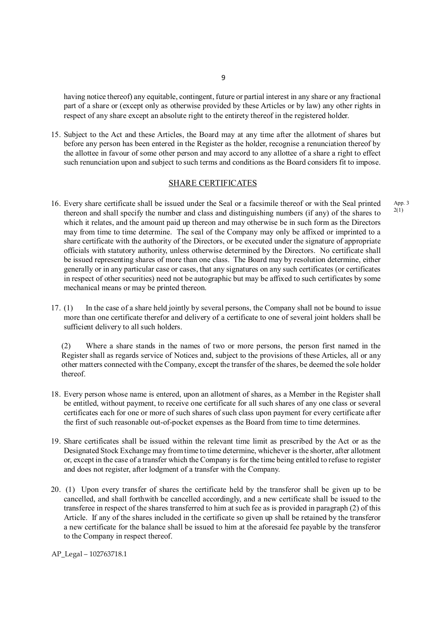having notice thereof) any equitable, contingent, future or partial interest in any share or any fractional part of a share or (except only as otherwise provided by these Articles or by law) any other rights in respect of any share except an absolute right to the entirety thereof in the registered holder.

15. Subject to the Act and these Articles, the Board may at any time after the allotment of shares but before any person has been entered in the Register as the holder, recognise a renunciation thereof by the allottee in favour of some other person and may accord to any allottee of a share a right to effect such renunciation upon and subject to such terms and conditions as the Board considers fit to impose.

#### SHARE CERTIFICATES

- 16. Every share certificate shall be issued under the Seal or a facsimile thereof or with the Seal printed thereon and shall specify the number and class and distinguishing numbers (if any) of the shares to which it relates, and the amount paid up thereon and may otherwise be in such form as the Directors may from time to time determine. The seal of the Company may only be affixed or imprinted to a share certificate with the authority of the Directors, or be executed under the signature of appropriate officials with statutory authority, unless otherwise determined by the Directors. No certificate shall be issued representing shares of more than one class. The Board may by resolution determine, either generally or in any particular case or cases, that any signatures on any such certificates (or certificates in respect of other securities) need not be autographic but may be affixed to such certificates by some mechanical means or may be printed thereon.
- 17. (1) In the case of a share held jointly by several persons, the Company shall not be bound to issue more than one certificate therefor and delivery of a certificate to one of several joint holders shall be sufficient delivery to all such holders.

 (2) Where a share stands in the names of two or more persons, the person first named in the Register shall as regards service of Notices and, subject to the provisions of these Articles, all or any other matters connected with the Company, except the transfer of the shares, be deemed the sole holder thereof.

- 18. Every person whose name is entered, upon an allotment of shares, as a Member in the Register shall be entitled, without payment, to receive one certificate for all such shares of any one class or several certificates each for one or more of such shares of such class upon payment for every certificate after the first of such reasonable out-of-pocket expenses as the Board from time to time determines.
- 19. Share certificates shall be issued within the relevant time limit as prescribed by the Act or as the Designated Stock Exchange may from time to time determine, whichever is the shorter, after allotment or, except in the case of a transfer which the Company is for the time being entitled to refuse to register and does not register, after lodgment of a transfer with the Company.
- 20. (1) Upon every transfer of shares the certificate held by the transferor shall be given up to be cancelled, and shall forthwith be cancelled accordingly, and a new certificate shall be issued to the transferee in respect of the shares transferred to him at such fee as is provided in paragraph (2) of this Article. If any of the shares included in the certificate so given up shall be retained by the transferor a new certificate for the balance shall be issued to him at the aforesaid fee payable by the transferor to the Company in respect thereof.

AP\_Legal – 102763718.1

App. 3 2(1)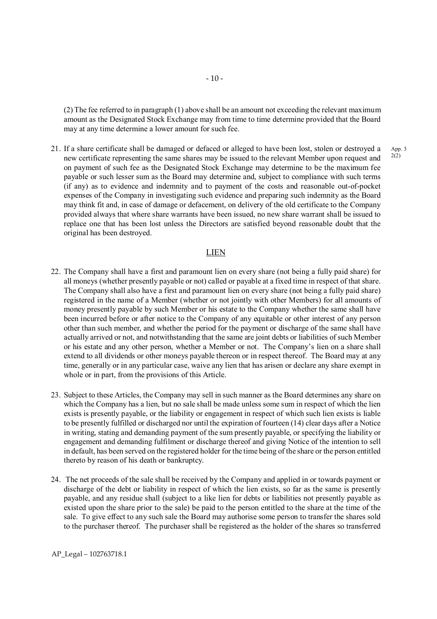(2) The fee referred to in paragraph (1) above shall be an amount not exceeding the relevant maximum amount as the Designated Stock Exchange may from time to time determine provided that the Board may at any time determine a lower amount for such fee.

21. If a share certificate shall be damaged or defaced or alleged to have been lost, stolen or destroyed a new certificate representing the same shares may be issued to the relevant Member upon request and on payment of such fee as the Designated Stock Exchange may determine to be the maximum fee payable or such lesser sum as the Board may determine and, subject to compliance with such terms (if any) as to evidence and indemnity and to payment of the costs and reasonable out-of-pocket expenses of the Company in investigating such evidence and preparing such indemnity as the Board may think fit and, in case of damage or defacement, on delivery of the old certificate to the Company provided always that where share warrants have been issued, no new share warrant shall be issued to replace one that has been lost unless the Directors are satisfied beyond reasonable doubt that the original has been destroyed.

#### LIEN

- 22. The Company shall have a first and paramount lien on every share (not being a fully paid share) for all moneys (whether presently payable or not) called or payable at a fixed time in respect of that share. The Company shall also have a first and paramount lien on every share (not being a fully paid share) registered in the name of a Member (whether or not jointly with other Members) for all amounts of money presently payable by such Member or his estate to the Company whether the same shall have been incurred before or after notice to the Company of any equitable or other interest of any person other than such member, and whether the period for the payment or discharge of the same shall have actually arrived or not, and notwithstanding that the same are joint debts or liabilities of such Member or his estate and any other person, whether a Member or not. The Company's lien on a share shall extend to all dividends or other moneys payable thereon or in respect thereof. The Board may at any time, generally or in any particular case, waive any lien that has arisen or declare any share exempt in whole or in part, from the provisions of this Article.
- 23. Subject to these Articles, the Company may sell in such manner as the Board determines any share on which the Company has a lien, but no sale shall be made unless some sum in respect of which the lien exists is presently payable, or the liability or engagement in respect of which such lien exists is liable to be presently fulfilled or discharged nor until the expiration of fourteen (14) clear days after a Notice in writing, stating and demanding payment of the sum presently payable, or specifying the liability or engagement and demanding fulfilment or discharge thereof and giving Notice of the intention to sell in default, has been served on the registered holder for the time being of the share or the person entitled thereto by reason of his death or bankruptcy.
- 24. The net proceeds of the sale shall be received by the Company and applied in or towards payment or discharge of the debt or liability in respect of which the lien exists, so far as the same is presently payable, and any residue shall (subject to a like lien for debts or liabilities not presently payable as existed upon the share prior to the sale) be paid to the person entitled to the share at the time of the sale. To give effect to any such sale the Board may authorise some person to transfer the shares sold to the purchaser thereof. The purchaser shall be registered as the holder of the shares so transferred

AP\_Legal – 102763718.1

App. 3 2(2)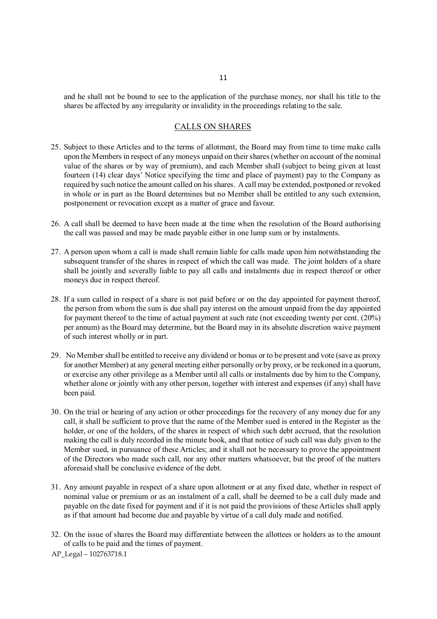and he shall not be bound to see to the application of the purchase money, nor shall his title to the shares be affected by any irregularity or invalidity in the proceedings relating to the sale.

# CALLS ON SHARES

- 25. Subject to these Articles and to the terms of allotment, the Board may from time to time make calls upon the Members in respect of any moneys unpaid on their shares (whether on account of the nominal value of the shares or by way of premium), and each Member shall (subject to being given at least fourteen (14) clear days' Notice specifying the time and place of payment) pay to the Company as required by such notice the amount called on his shares. A call may be extended, postponed or revoked in whole or in part as the Board determines but no Member shall be entitled to any such extension, postponement or revocation except as a matter of grace and favour.
- 26. A call shall be deemed to have been made at the time when the resolution of the Board authorising the call was passed and may be made payable either in one lump sum or by instalments.
- 27. A person upon whom a call is made shall remain liable for calls made upon him notwithstanding the subsequent transfer of the shares in respect of which the call was made. The joint holders of a share shall be jointly and severally liable to pay all calls and instalments due in respect thereof or other moneys due in respect thereof.
- 28. If a sum called in respect of a share is not paid before or on the day appointed for payment thereof, the person from whom the sum is due shall pay interest on the amount unpaid from the day appointed for payment thereof to the time of actual payment at such rate (not exceeding twenty per cent. (20%) per annum) as the Board may determine, but the Board may in its absolute discretion waive payment of such interest wholly or in part.
- 29. No Member shall be entitled to receive any dividend or bonus or to be present and vote (save as proxy for another Member) at any general meeting either personally or by proxy, or be reckoned in a quorum, or exercise any other privilege as a Member until all calls or instalments due by him to the Company, whether alone or jointly with any other person, together with interest and expenses (if any) shall have been paid.
- 30. On the trial or hearing of any action or other proceedings for the recovery of any money due for any call, it shall be sufficient to prove that the name of the Member sued is entered in the Register as the holder, or one of the holders, of the shares in respect of which such debt accrued, that the resolution making the call is duly recorded in the minute book, and that notice of such call was duly given to the Member sued, in pursuance of these Articles; and it shall not be necessary to prove the appointment of the Directors who made such call, nor any other matters whatsoever, but the proof of the matters aforesaid shall be conclusive evidence of the debt.
- 31. Any amount payable in respect of a share upon allotment or at any fixed date, whether in respect of nominal value or premium or as an instalment of a call, shall be deemed to be a call duly made and payable on the date fixed for payment and if it is not paid the provisions of these Articles shall apply as if that amount had become due and payable by virtue of a call duly made and notified.
- 32. On the issue of shares the Board may differentiate between the allottees or holders as to the amount of calls to be paid and the times of payment.

AP\_Legal – 102763718.1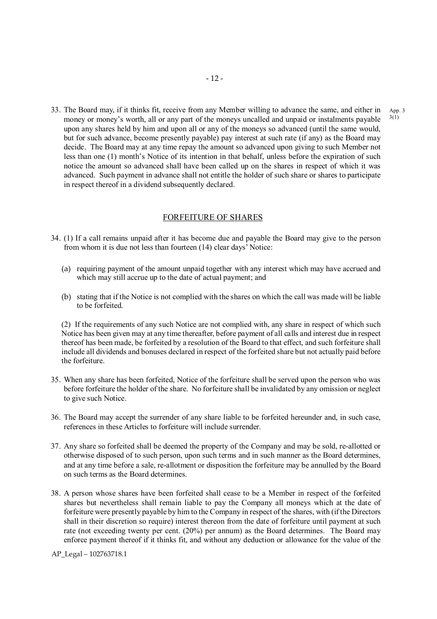33. The Board may, if it thinks fit, receive from any Member willing to advance the same, and either in money or money's worth, all or any part of the moneys uncalled and unpaid or instalments payable upon any shares held by him and upon all or any of the moneys so advanced (until the same would, but for such advance, become presently payable) pay interest at such rate (if any) as the Board may decide. The Board may at any time repay the amount so advanced upon giving to such Member not less than one (1) month's Notice of its intention in that behalf, unless before the expiration of such notice the amount so advanced shall have been called up on the shares in respect of which it was advanced. Such payment in advance shall not entitle the holder of such share or shares to participate in respect thereof in a dividend subsequently declared. 3(1)

#### FORFEITURE OF SHARES

- 34. (1) If a call remains unpaid after it has become due and payable the Board may give to the person from whom it is due not less than fourteen (14) clear days' Notice:
	- (a) requiring payment of the amount unpaid together with any interest which may have accrued and which may still accrue up to the date of actual payment; and
	- (b) stating that if the Notice is not complied with the shares on which the call was made will be liable to be forfeited.

(2) If the requirements of any such Notice are not complied with, any share in respect of which such Notice has been given may at any time thereafter, before payment of all calls and interest due in respect thereof has been made, be forfeited by a resolution of the Board to that effect, and such forfeiture shall include all dividends and bonuses declared in respect of the forfeited share but not actually paid before the forfeiture.

- 35. When any share has been forfeited, Notice of the forfeiture shall be served upon the person who was before forfeiture the holder of the share. No forfeiture shall be invalidated by any omission or neglect to give such Notice.
- 36. The Board may accept the surrender of any share liable to be forfeited hereunder and, in such case, references in these Articles to forfeiture will include surrender.
- 37. Any share so forfeited shall be deemed the property of the Company and may be sold, re-allotted or otherwise disposed of to such person, upon such terms and in such manner as the Board determines, and at any time before a sale, re-allotment or disposition the forfeiture may be annulled by the Board on such terms as the Board determines.
- 38. A person whose shares have been forfeited shall cease to be a Member in respect of the forfeited shares but nevertheless shall remain liable to pay the Company all moneys which at the date of forfeiture were presently payable by him to the Company in respect of the shares, with (if the Directors shall in their discretion so require) interest thereon from the date of forfeiture until payment at such rate (not exceeding twenty per cent. (20%) per annum) as the Board determines. The Board may enforce payment thereof if it thinks fit, and without any deduction or allowance for the value of the

App. 3

AP\_Legal – 102763718.1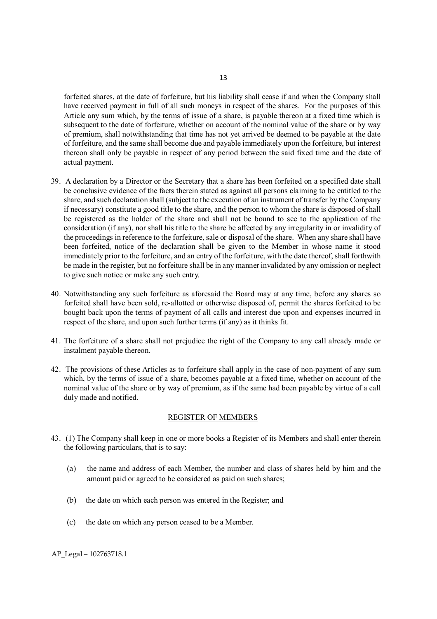forfeited shares, at the date of forfeiture, but his liability shall cease if and when the Company shall have received payment in full of all such moneys in respect of the shares. For the purposes of this Article any sum which, by the terms of issue of a share, is payable thereon at a fixed time which is subsequent to the date of forfeiture, whether on account of the nominal value of the share or by way of premium, shall notwithstanding that time has not yet arrived be deemed to be payable at the date of forfeiture, and the same shall become due and payable immediately upon the forfeiture, but interest thereon shall only be payable in respect of any period between the said fixed time and the date of actual payment.

- 39. A declaration by a Director or the Secretary that a share has been forfeited on a specified date shall be conclusive evidence of the facts therein stated as against all persons claiming to be entitled to the share, and such declaration shall (subject to the execution of an instrument of transfer by the Company if necessary) constitute a good title to the share, and the person to whom the share is disposed of shall be registered as the holder of the share and shall not be bound to see to the application of the consideration (if any), nor shall his title to the share be affected by any irregularity in or invalidity of the proceedings in reference to the forfeiture, sale or disposal of the share. When any share shall have been forfeited, notice of the declaration shall be given to the Member in whose name it stood immediately prior to the forfeiture, and an entry of the forfeiture, with the date thereof, shall forthwith be made in the register, but no forfeiture shall be in any manner invalidated by any omission or neglect to give such notice or make any such entry.
- 40. Notwithstanding any such forfeiture as aforesaid the Board may at any time, before any shares so forfeited shall have been sold, re-allotted or otherwise disposed of, permit the shares forfeited to be bought back upon the terms of payment of all calls and interest due upon and expenses incurred in respect of the share, and upon such further terms (if any) as it thinks fit.
- 41. The forfeiture of a share shall not prejudice the right of the Company to any call already made or instalment payable thereon.
- 42. The provisions of these Articles as to forfeiture shall apply in the case of non-payment of any sum which, by the terms of issue of a share, becomes payable at a fixed time, whether on account of the nominal value of the share or by way of premium, as if the same had been payable by virtue of a call duly made and notified.

#### REGISTER OF MEMBERS

- 43. (1) The Company shall keep in one or more books a Register of its Members and shall enter therein the following particulars, that is to say:
	- (a) the name and address of each Member, the number and class of shares held by him and the amount paid or agreed to be considered as paid on such shares;
	- (b) the date on which each person was entered in the Register; and
	- (c) the date on which any person ceased to be a Member.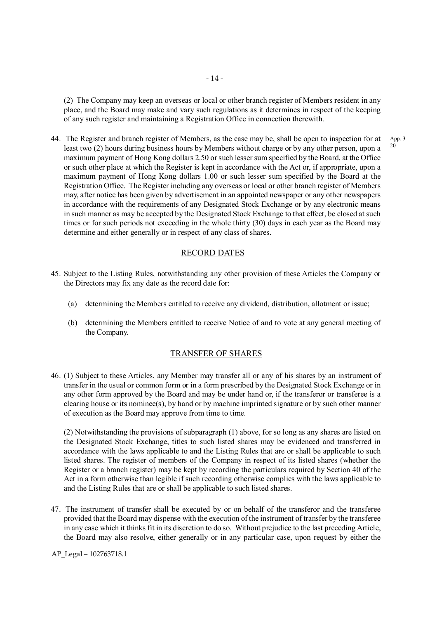(2) The Company may keep an overseas or local or other branch register of Members resident in any place, and the Board may make and vary such regulations as it determines in respect of the keeping of any such register and maintaining a Registration Office in connection therewith.

44. The Register and branch register of Members, as the case may be, shall be open to inspection for at least two (2) hours during business hours by Members without charge or by any other person, upon a maximum payment of Hong Kong dollars 2.50 or such lesser sum specified by the Board, at the Office or such other place at which the Register is kept in accordance with the Act or, if appropriate, upon a maximum payment of Hong Kong dollars 1.00 or such lesser sum specified by the Board at the Registration Office. The Register including any overseas or local or other branch register of Members may, after notice has been given by advertisement in an appointed newspaper or any other newspapers in accordance with the requirements of any Designated Stock Exchange or by any electronic means in such manner as may be accepted by the Designated Stock Exchange to that effect, be closed at such times or for such periods not exceeding in the whole thirty (30) days in each year as the Board may determine and either generally or in respect of any class of shares.

#### RECORD DATES

- 45. Subject to the Listing Rules, notwithstanding any other provision of these Articles the Company or the Directors may fix any date as the record date for:
	- (a) determining the Members entitled to receive any dividend, distribution, allotment or issue;
	- (b) determining the Members entitled to receive Notice of and to vote at any general meeting of the Company.

#### TRANSFER OF SHARES

46. (1) Subject to these Articles, any Member may transfer all or any of his shares by an instrument of transfer in the usual or common form or in a form prescribed by the Designated Stock Exchange or in any other form approved by the Board and may be under hand or, if the transferor or transferee is a clearing house or its nominee $(s)$ , by hand or by machine imprinted signature or by such other manner of execution as the Board may approve from time to time.

(2) Notwithstanding the provisions of subparagraph (1) above, for so long as any shares are listed on the Designated Stock Exchange, titles to such listed shares may be evidenced and transferred in accordance with the laws applicable to and the Listing Rules that are or shall be applicable to such listed shares. The register of members of the Company in respect of its listed shares (whether the Register or a branch register) may be kept by recording the particulars required by Section 40 of the Act in a form otherwise than legible if such recording otherwise complies with the laws applicable to and the Listing Rules that are or shall be applicable to such listed shares.

47. The instrument of transfer shall be executed by or on behalf of the transferor and the transferee provided that the Board may dispense with the execution of the instrument of transfer by the transferee in any case which it thinks fit in its discretion to do so. Without prejudice to the last preceding Article, the Board may also resolve, either generally or in any particular case, upon request by either the

AP\_Legal – 102763718.1

App. 3 20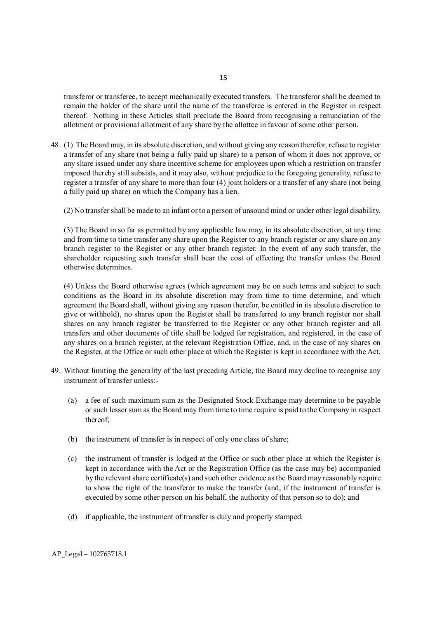transferor or transferee, to accept mechanically executed transfers. The transferor shall be deemed to remain the holder of the share until the name of the transferee is entered in the Register in respect thereof. Nothing in these Articles shall preclude the Board from recognising a renunciation of the allotment or provisional allotment of any share by the allottee in favour of some other person.

48. (1) The Board may, in its absolute discretion, and without giving any reason therefor, refuse to register a transfer of any share (not being a fully paid up share) to a person of whom it does not approve, or any share issued under any share incentive scheme for employees upon which a restriction on transfer imposed thereby still subsists, and it may also, without prejudice to the foregoing generality, refuse to register a transfer of any share to more than four (4) joint holders or a transfer of any share (not being a fully paid up share) on which the Company has a lien.

(2) No transfer shall be made to an infant or to a person of unsound mind or under other legal disability.

(3) The Board in so far as permitted by any applicable law may, in its absolute discretion, at any time and from time to time transfer any share upon the Register to any branch register or any share on any branch register to the Register or any other branch register. In the event of any such transfer, the shareholder requesting such transfer shall bear the cost of effecting the transfer unless the Board otherwise determines.

(4) Unless the Board otherwise agrees (which agreement may be on such terms and subject to such conditions as the Board in its absolute discretion may from time to time determine, and which agreement the Board shall, without giving any reason therefor, be entitled in its absolute discretion to give or withhold), no shares upon the Register shall be transferred to any branch register nor shall shares on any branch register be transferred to the Register or any other branch register and all transfers and other documents of title shall be lodged for registration, and registered, in the case of any shares on a branch register, at the relevant Registration Office, and, in the case of any shares on the Register, at the Office or such other place at which the Register is kept in accordance with the Act.

- 49. Without limiting the generality of the last preceding Article, the Board may decline to recognise any instrument of transfer unless:-
	- (a) a fee of such maximum sum as the Designated Stock Exchange may determine to be payable or such lesser sum as the Board may from time to time require is paid to the Company in respect thereof;
	- (b) the instrument of transfer is in respect of only one class of share;
	- (c) the instrument of transfer is lodged at the Office or such other place at which the Register is kept in accordance with the Act or the Registration Office (as the case may be) accompanied by the relevant share certificate(s) and such other evidence as the Board may reasonably require to show the right of the transferor to make the transfer (and, if the instrument of transfer is executed by some other person on his behalf, the authority of that person so to do); and
	- (d) if applicable, the instrument of transfer is duly and properly stamped.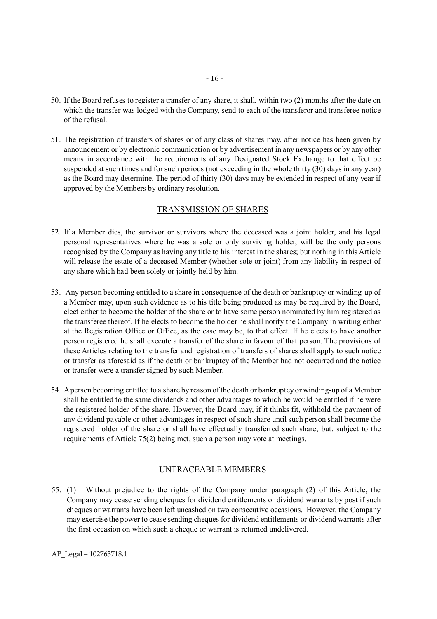- 50. If the Board refuses to register a transfer of any share, it shall, within two (2) months after the date on which the transfer was lodged with the Company, send to each of the transferor and transferee notice of the refusal.
- 51. The registration of transfers of shares or of any class of shares may, after notice has been given by announcement or by electronic communication or by advertisement in any newspapers or by any other means in accordance with the requirements of any Designated Stock Exchange to that effect be suspended at such times and for such periods (not exceeding in the whole thirty (30) days in any year) as the Board may determine. The period of thirty (30) days may be extended in respect of any year if approved by the Members by ordinary resolution.

#### TRANSMISSION OF SHARES

- 52. If a Member dies, the survivor or survivors where the deceased was a joint holder, and his legal personal representatives where he was a sole or only surviving holder, will be the only persons recognised by the Company as having any title to his interest in the shares; but nothing in this Article will release the estate of a deceased Member (whether sole or joint) from any liability in respect of any share which had been solely or jointly held by him.
- 53. Any person becoming entitled to a share in consequence of the death or bankruptcy or winding-up of a Member may, upon such evidence as to his title being produced as may be required by the Board, elect either to become the holder of the share or to have some person nominated by him registered as the transferee thereof. If he elects to become the holder he shall notify the Company in writing either at the Registration Office or Office, as the case may be, to that effect. If he elects to have another person registered he shall execute a transfer of the share in favour of that person. The provisions of these Articles relating to the transfer and registration of transfers of shares shall apply to such notice or transfer as aforesaid as if the death or bankruptcy of the Member had not occurred and the notice or transfer were a transfer signed by such Member.
- 54. A person becoming entitled to a share by reason of the death or bankruptcy or winding-up of a Member shall be entitled to the same dividends and other advantages to which he would be entitled if he were the registered holder of the share. However, the Board may, if it thinks fit, withhold the payment of any dividend payable or other advantages in respect of such share until such person shall become the registered holder of the share or shall have effectually transferred such share, but, subject to the requirements of Article 75(2) being met, such a person may vote at meetings.

# UNTRACEABLE MEMBERS

55. (1) Without prejudice to the rights of the Company under paragraph (2) of this Article, the Company may cease sending cheques for dividend entitlements or dividend warrants by post if such cheques or warrants have been left uncashed on two consecutive occasions. However, the Company may exercise the power to cease sending cheques for dividend entitlements or dividend warrants after the first occasion on which such a cheque or warrant is returned undelivered.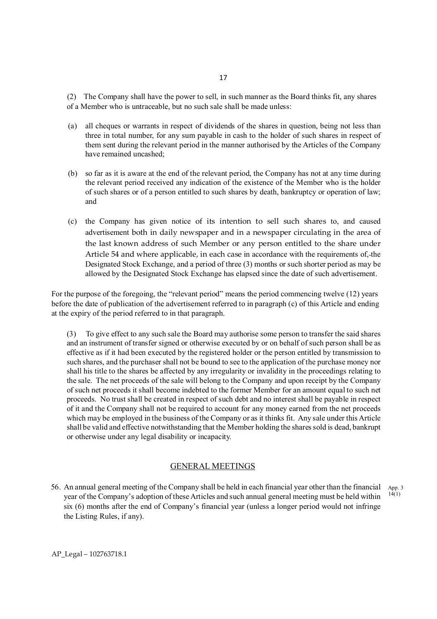(2) The Company shall have the power to sell, in such manner as the Board thinks fit, any shares of a Member who is untraceable, but no such sale shall be made unless:

- (a) all cheques or warrants in respect of dividends of the shares in question, being not less than three in total number, for any sum payable in cash to the holder of such shares in respect of them sent during the relevant period in the manner authorised by the Articles of the Company have remained uncashed;
- (b) so far as it is aware at the end of the relevant period, the Company has not at any time during the relevant period received any indication of the existence of the Member who is the holder of such shares or of a person entitled to such shares by death, bankruptcy or operation of law; and
- (c) the Company has given notice of its intention to sell such shares to, and caused advertisement both in daily newspaper and in a newspaper circulating in the area of the last known address of such Member or any person entitled to the share under Article 54 and where applicable, in each case in accordance with the requirements of, the Designated Stock Exchange, and a period of three (3) months or such shorter period as may be allowed by the Designated Stock Exchange has elapsed since the date of such advertisement.

For the purpose of the foregoing, the "relevant period" means the period commencing twelve (12) years before the date of publication of the advertisement referred to in paragraph (c) of this Article and ending at the expiry of the period referred to in that paragraph.

(3) To give effect to any such sale the Board may authorise some person to transfer the said shares and an instrument of transfer signed or otherwise executed by or on behalf of such person shall be as effective as if it had been executed by the registered holder or the person entitled by transmission to such shares, and the purchaser shall not be bound to see to the application of the purchase money nor shall his title to the shares be affected by any irregularity or invalidity in the proceedings relating to the sale. The net proceeds of the sale will belong to the Company and upon receipt by the Company of such net proceeds it shall become indebted to the former Member for an amount equal to such net proceeds. No trust shall be created in respect of such debt and no interest shall be payable in respect of it and the Company shall not be required to account for any money earned from the net proceeds which may be employed in the business of the Company or as it thinks fit. Any sale under this Article shall be valid and effective notwithstanding that the Member holding the shares sold is dead, bankrupt or otherwise under any legal disability or incapacity.

#### GENERAL MEETINGS

56. An annual general meeting of the Company shall be held in each financial year other than the financial year of the Company's adoption of these Articles and such annual general meeting must be held within six (6) months after the end of Company's financial year (unless a longer period would not infringe the Listing Rules, if any). App. 3 14(1)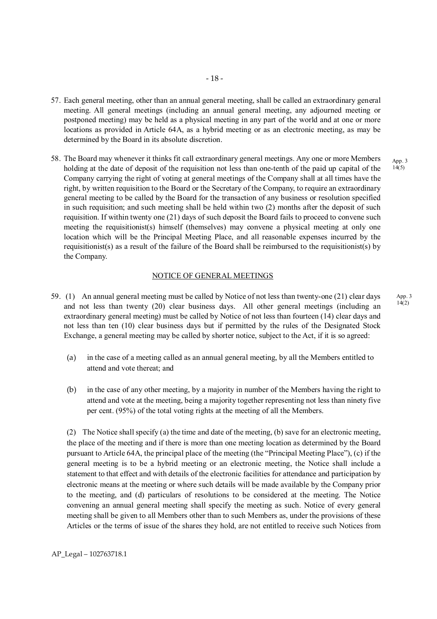- 57. Each general meeting, other than an annual general meeting, shall be called an extraordinary general meeting. All general meetings (including an annual general meeting, any adjourned meeting or postponed meeting) may be held as a physical meeting in any part of the world and at one or more locations as provided in Article 64A, as a hybrid meeting or as an electronic meeting, as may be determined by the Board in its absolute discretion.
- 58. The Board may whenever it thinks fit call extraordinary general meetings. Any one or more Members holding at the date of deposit of the requisition not less than one-tenth of the paid up capital of the Company carrying the right of voting at general meetings of the Company shall at all times have the right, by written requisition to the Board or the Secretary of the Company, to require an extraordinary general meeting to be called by the Board for the transaction of any business or resolution specified in such requisition; and such meeting shall be held within two (2) months after the deposit of such requisition. If within twenty one (21) days of such deposit the Board fails to proceed to convene such meeting the requisitionist(s) himself (themselves) may convene a physical meeting at only one location which will be the Principal Meeting Place, and all reasonable expenses incurred by the requisitionist(s) as a result of the failure of the Board shall be reimbursed to the requisitionist(s) by the Company. App. 3  $14(5)$

#### NOTICE OF GENERAL MEETINGS

- 59. (1) An annual general meeting must be called by Notice of not less than twenty-one (21) clear days and not less than twenty (20) clear business days. All other general meetings (including an extraordinary general meeting) must be called by Notice of not less than fourteen (14) clear days and not less than ten (10) clear business days but if permitted by the rules of the Designated Stock Exchange, a general meeting may be called by shorter notice, subject to the Act, if it is so agreed:
	- (a) in the case of a meeting called as an annual general meeting, by all the Members entitled to attend and vote thereat; and
	- (b) in the case of any other meeting, by a majority in number of the Members having the right to attend and vote at the meeting, being a majority together representing not less than ninety five per cent. (95%) of the total voting rights at the meeting of all the Members.

(2) The Notice shall specify (a) the time and date of the meeting, (b) save for an electronic meeting, the place of the meeting and if there is more than one meeting location as determined by the Board pursuant to Article 64A, the principal place of the meeting (the "Principal Meeting Place"), (c) if the general meeting is to be a hybrid meeting or an electronic meeting, the Notice shall include a statement to that effect and with details of the electronic facilities for attendance and participation by electronic means at the meeting or where such details will be made available by the Company prior to the meeting, and (d) particulars of resolutions to be considered at the meeting. The Notice convening an annual general meeting shall specify the meeting as such. Notice of every general meeting shall be given to all Members other than to such Members as, under the provisions of these Articles or the terms of issue of the shares they hold, are not entitled to receive such Notices from App. 3  $14(2)$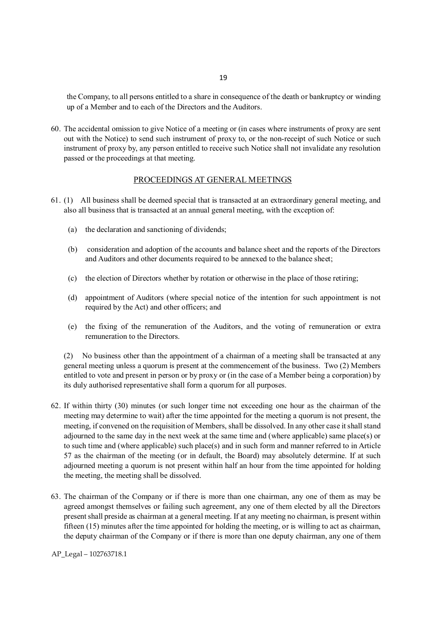the Company, to all persons entitled to a share in consequence of the death or bankruptcy or winding up of a Member and to each of the Directors and the Auditors.

60. The accidental omission to give Notice of a meeting or (in cases where instruments of proxy are sent out with the Notice) to send such instrument of proxy to, or the non-receipt of such Notice or such instrument of proxy by, any person entitled to receive such Notice shall not invalidate any resolution passed or the proceedings at that meeting.

#### PROCEEDINGS AT GENERAL MEETINGS

- 61. (1) All business shall be deemed special that is transacted at an extraordinary general meeting, and also all business that is transacted at an annual general meeting, with the exception of:
	- (a) the declaration and sanctioning of dividends;
	- (b) consideration and adoption of the accounts and balance sheet and the reports of the Directors and Auditors and other documents required to be annexed to the balance sheet;
	- (c) the election of Directors whether by rotation or otherwise in the place of those retiring;
	- (d) appointment of Auditors (where special notice of the intention for such appointment is not required by the Act) and other officers; and
	- (e) the fixing of the remuneration of the Auditors, and the voting of remuneration or extra remuneration to the Directors.

(2) No business other than the appointment of a chairman of a meeting shall be transacted at any general meeting unless a quorum is present at the commencement of the business. Two (2) Members entitled to vote and present in person or by proxy or (in the case of a Member being a corporation) by its duly authorised representative shall form a quorum for all purposes.

- 62. If within thirty (30) minutes (or such longer time not exceeding one hour as the chairman of the meeting may determine to wait) after the time appointed for the meeting a quorum is not present, the meeting, if convened on the requisition of Members, shall be dissolved. In any other case it shall stand adjourned to the same day in the next week at the same time and (where applicable) same place(s) or to such time and (where applicable) such place(s) and in such form and manner referred to in Article 57 as the chairman of the meeting (or in default, the Board) may absolutely determine. If at such adjourned meeting a quorum is not present within half an hour from the time appointed for holding the meeting, the meeting shall be dissolved.
- 63. The chairman of the Company or if there is more than one chairman, any one of them as may be agreed amongst themselves or failing such agreement, any one of them elected by all the Directors present shall preside as chairman at a general meeting. If at any meeting no chairman, is present within fifteen (15) minutes after the time appointed for holding the meeting, or is willing to act as chairman, the deputy chairman of the Company or if there is more than one deputy chairman, any one of them

AP\_Legal – 102763718.1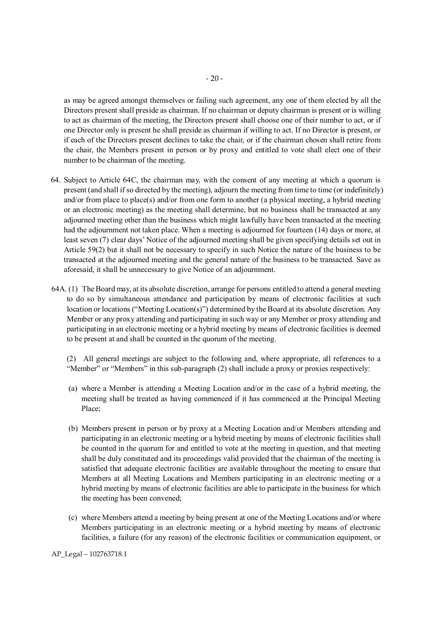as may be agreed amongst themselves or failing such agreement, any one of them elected by all the Directors present shall preside as chairman. If no chairman or deputy chairman is present or is willing to act as chairman of the meeting, the Directors present shall choose one of their number to act, or if one Director only is present he shall preside as chairman if willing to act. If no Director is present, or if each of the Directors present declines to take the chair, or if the chairman chosen shall retire from the chair, the Members present in person or by proxy and entitled to vote shall elect one of their number to be chairman of the meeting.

- 64. Subject to Article 64C, the chairman may, with the consent of any meeting at which a quorum is present (and shall if so directed by the meeting), adjourn the meeting from time to time (or indefinitely) and/or from place to place(s) and/or from one form to another (a physical meeting, a hybrid meeting or an electronic meeting) as the meeting shall determine, but no business shall be transacted at any adjourned meeting other than the business which might lawfully have been transacted at the meeting had the adjournment not taken place. When a meeting is adjourned for fourteen (14) days or more, at least seven (7) clear days' Notice of the adjourned meeting shall be given specifying details set out in Article 59(2) but it shall not be necessary to specify in such Notice the nature of the business to be transacted at the adjourned meeting and the general nature of the business to be transacted. Save as aforesaid, it shall be unnecessary to give Notice of an adjournment.
- 64A. (1) The Board may, at its absolute discretion, arrange for persons entitled to attend a general meeting to do so by simultaneous attendance and participation by means of electronic facilities at such location or locations ("Meeting Location(s)") determined by the Board at its absolute discretion. Any Member or any proxy attending and participating in such way or any Member or proxy attending and participating in an electronic meeting or a hybrid meeting by means of electronic facilities is deemed to be present at and shall be counted in the quorum of the meeting.

 (2) All general meetings are subject to the following and, where appropriate, all references to a "Member" or "Members" in this sub-paragraph (2) shall include a proxy or proxies respectively:

- (a) where a Member is attending a Meeting Location and/or in the case of a hybrid meeting, the meeting shall be treated as having commenced if it has commenced at the Principal Meeting Place;
- (b) Members present in person or by proxy at a Meeting Location and/or Members attending and participating in an electronic meeting or a hybrid meeting by means of electronic facilities shall be counted in the quorum for and entitled to vote at the meeting in question, and that meeting shall be duly constituted and its proceedings valid provided that the chairman of the meeting is satisfied that adequate electronic facilities are available throughout the meeting to ensure that Members at all Meeting Locations and Members participating in an electronic meeting or a hybrid meeting by means of electronic facilities are able to participate in the business for which the meeting has been convened;
- (c) where Members attend a meeting by being present at one of the Meeting Locations and/or where Members participating in an electronic meeting or a hybrid meeting by means of electronic facilities, a failure (for any reason) of the electronic facilities or communication equipment, or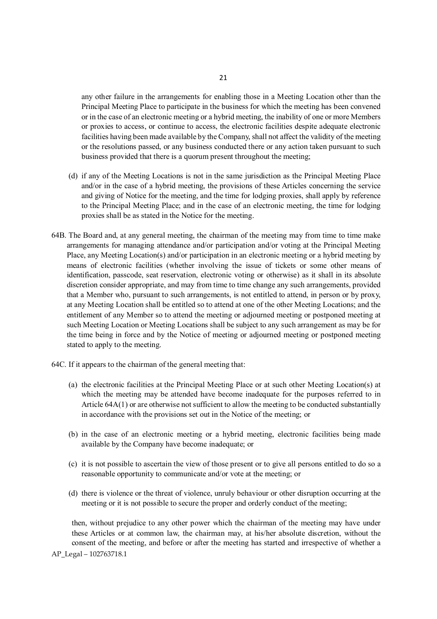any other failure in the arrangements for enabling those in a Meeting Location other than the Principal Meeting Place to participate in the business for which the meeting has been convened or in the case of an electronic meeting or a hybrid meeting, the inability of one or more Members or proxies to access, or continue to access, the electronic facilities despite adequate electronic facilities having been made available by the Company, shall not affect the validity of the meeting or the resolutions passed, or any business conducted there or any action taken pursuant to such business provided that there is a quorum present throughout the meeting;

- (d) if any of the Meeting Locations is not in the same jurisdiction as the Principal Meeting Place and/or in the case of a hybrid meeting, the provisions of these Articles concerning the service and giving of Notice for the meeting, and the time for lodging proxies, shall apply by reference to the Principal Meeting Place; and in the case of an electronic meeting, the time for lodging proxies shall be as stated in the Notice for the meeting.
- 64B. The Board and, at any general meeting, the chairman of the meeting may from time to time make arrangements for managing attendance and/or participation and/or voting at the Principal Meeting Place, any Meeting Location(s) and/or participation in an electronic meeting or a hybrid meeting by means of electronic facilities (whether involving the issue of tickets or some other means of identification, passcode, seat reservation, electronic voting or otherwise) as it shall in its absolute discretion consider appropriate, and may from time to time change any such arrangements, provided that a Member who, pursuant to such arrangements, is not entitled to attend, in person or by proxy, at any Meeting Location shall be entitled so to attend at one of the other Meeting Locations; and the entitlement of any Member so to attend the meeting or adjourned meeting or postponed meeting at such Meeting Location or Meeting Locations shall be subject to any such arrangement as may be for the time being in force and by the Notice of meeting or adjourned meeting or postponed meeting stated to apply to the meeting.
- 64C. If it appears to the chairman of the general meeting that:
	- (a) the electronic facilities at the Principal Meeting Place or at such other Meeting Location(s) at which the meeting may be attended have become inadequate for the purposes referred to in Article  $64A(1)$  or are otherwise not sufficient to allow the meeting to be conducted substantially in accordance with the provisions set out in the Notice of the meeting; or
	- (b) in the case of an electronic meeting or a hybrid meeting, electronic facilities being made available by the Company have become inadequate; or
	- (c) it is not possible to ascertain the view of those present or to give all persons entitled to do so a reasonable opportunity to communicate and/or vote at the meeting; or
	- (d) there is violence or the threat of violence, unruly behaviour or other disruption occurring at the meeting or it is not possible to secure the proper and orderly conduct of the meeting;

 then, without prejudice to any other power which the chairman of the meeting may have under these Articles or at common law, the chairman may, at his/her absolute discretion, without the consent of the meeting, and before or after the meeting has started and irrespective of whether a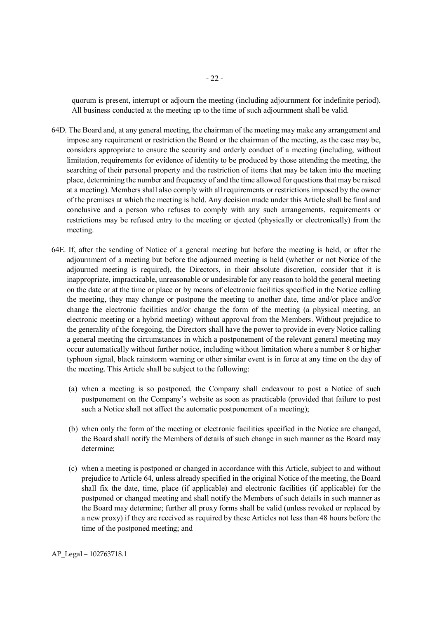quorum is present, interrupt or adjourn the meeting (including adjournment for indefinite period). All business conducted at the meeting up to the time of such adjournment shall be valid.

- 64D. The Board and, at any general meeting, the chairman of the meeting may make any arrangement and impose any requirement or restriction the Board or the chairman of the meeting, as the case may be, considers appropriate to ensure the security and orderly conduct of a meeting (including, without limitation, requirements for evidence of identity to be produced by those attending the meeting, the searching of their personal property and the restriction of items that may be taken into the meeting place, determining the number and frequency of and the time allowed for questions that may be raised at a meeting). Members shall also comply with all requirements or restrictions imposed by the owner of the premises at which the meeting is held. Any decision made under this Article shall be final and conclusive and a person who refuses to comply with any such arrangements, requirements or restrictions may be refused entry to the meeting or ejected (physically or electronically) from the meeting.
- 64E. If, after the sending of Notice of a general meeting but before the meeting is held, or after the adjournment of a meeting but before the adjourned meeting is held (whether or not Notice of the adjourned meeting is required), the Directors, in their absolute discretion, consider that it is inappropriate, impracticable, unreasonable or undesirable for any reason to hold the general meeting on the date or at the time or place or by means of electronic facilities specified in the Notice calling the meeting, they may change or postpone the meeting to another date, time and/or place and/or change the electronic facilities and/or change the form of the meeting (a physical meeting, an electronic meeting or a hybrid meeting) without approval from the Members. Without prejudice to the generality of the foregoing, the Directors shall have the power to provide in every Notice calling a general meeting the circumstances in which a postponement of the relevant general meeting may occur automatically without further notice, including without limitation where a number 8 or higher typhoon signal, black rainstorm warning or other similar event is in force at any time on the day of the meeting. This Article shall be subject to the following:
	- (a) when a meeting is so postponed, the Company shall endeavour to post a Notice of such postponement on the Company's website as soon as practicable (provided that failure to post such a Notice shall not affect the automatic postponement of a meeting);
	- (b) when only the form of the meeting or electronic facilities specified in the Notice are changed, the Board shall notify the Members of details of such change in such manner as the Board may determine;
	- (c) when a meeting is postponed or changed in accordance with this Article, subject to and without prejudice to Article 64, unless already specified in the original Notice of the meeting, the Board shall fix the date, time, place (if applicable) and electronic facilities (if applicable) for the postponed or changed meeting and shall notify the Members of such details in such manner as the Board may determine; further all proxy forms shall be valid (unless revoked or replaced by a new proxy) if they are received as required by these Articles not less than 48 hours before the time of the postponed meeting; and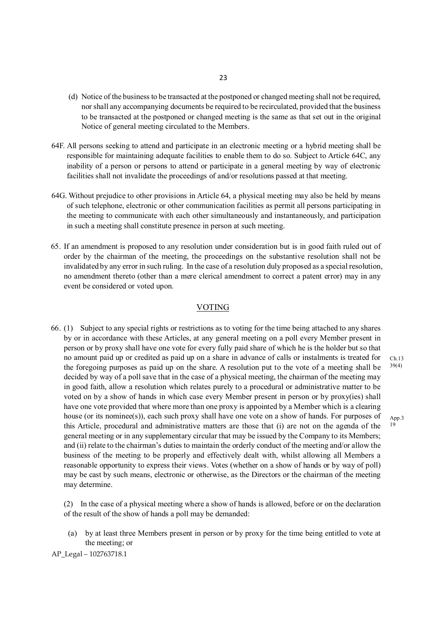- (d) Notice of the business to be transacted at the postponed or changed meeting shall not be required, nor shall any accompanying documents be required to be recirculated, provided that the business to be transacted at the postponed or changed meeting is the same as that set out in the original Notice of general meeting circulated to the Members.
- 64F. All persons seeking to attend and participate in an electronic meeting or a hybrid meeting shall be responsible for maintaining adequate facilities to enable them to do so. Subject to Article 64C, any inability of a person or persons to attend or participate in a general meeting by way of electronic facilities shall not invalidate the proceedings of and/or resolutions passed at that meeting.
- 64G. Without prejudice to other provisions in Article 64, a physical meeting may also be held by means of such telephone, electronic or other communication facilities as permit all persons participating in the meeting to communicate with each other simultaneously and instantaneously, and participation in such a meeting shall constitute presence in person at such meeting.
- 65. If an amendment is proposed to any resolution under consideration but is in good faith ruled out of order by the chairman of the meeting, the proceedings on the substantive resolution shall not be invalidated by any error in such ruling. In the case of a resolution duly proposed as a special resolution, no amendment thereto (other than a mere clerical amendment to correct a patent error) may in any event be considered or voted upon.

#### VOTING

66. (1) Subject to any special rights or restrictions as to voting for the time being attached to any shares by or in accordance with these Articles, at any general meeting on a poll every Member present in person or by proxy shall have one vote for every fully paid share of which he is the holder but so that no amount paid up or credited as paid up on a share in advance of calls or instalments is treated for the foregoing purposes as paid up on the share. A resolution put to the vote of a meeting shall be decided by way of a poll save that in the case of a physical meeting, the chairman of the meeting may in good faith, allow a resolution which relates purely to a procedural or administrative matter to be voted on by a show of hands in which case every Member present in person or by proxy(ies) shall have one vote provided that where more than one proxy is appointed by a Member which is a clearing house (or its nominee(s)), each such proxy shall have one vote on a show of hands. For purposes of this Article, procedural and administrative matters are those that (i) are not on the agenda of the general meeting or in any supplementary circular that may be issued by the Company to its Members; and (ii) relate to the chairman's duties to maintain the orderly conduct of the meeting and/or allow the business of the meeting to be properly and effectively dealt with, whilst allowing all Members a reasonable opportunity to express their views. Votes (whether on a show of hands or by way of poll) may be cast by such means, electronic or otherwise, as the Directors or the chairman of the meeting may determine.

(2) In the case of a physical meeting where a show of hands is allowed, before or on the declaration of the result of the show of hands a poll may be demanded:

(a) by at least three Members present in person or by proxy for the time being entitled to vote at the meeting; or

AP\_Legal – 102763718.1

Ch.13 39(4)

App.3  $1\hat{9}$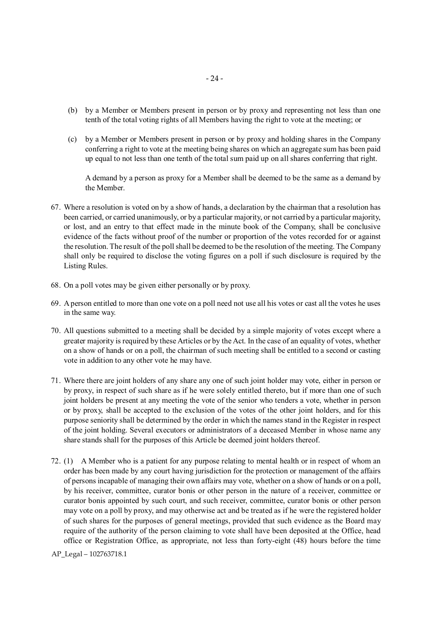- (b) by a Member or Members present in person or by proxy and representing not less than one tenth of the total voting rights of all Members having the right to vote at the meeting; or
- (c) by a Member or Members present in person or by proxy and holding shares in the Company conferring a right to vote at the meeting being shares on which an aggregate sum has been paid up equal to not less than one tenth of the total sum paid up on all shares conferring that right.

A demand by a person as proxy for a Member shall be deemed to be the same as a demand by the Member.

- 67. Where a resolution is voted on by a show of hands, a declaration by the chairman that a resolution has been carried, or carried unanimously, or by a particular majority, or not carried by a particular majority, or lost, and an entry to that effect made in the minute book of the Company, shall be conclusive evidence of the facts without proof of the number or proportion of the votes recorded for or against the resolution. The result of the poll shall be deemed to be the resolution of the meeting. The Company shall only be required to disclose the voting figures on a poll if such disclosure is required by the Listing Rules.
- 68. On a poll votes may be given either personally or by proxy.
- 69. A person entitled to more than one vote on a poll need not use all his votes or cast all the votes he uses in the same way.
- 70. All questions submitted to a meeting shall be decided by a simple majority of votes except where a greater majority is required by these Articles or by the Act. In the case of an equality of votes, whether on a show of hands or on a poll, the chairman of such meeting shall be entitled to a second or casting vote in addition to any other vote he may have.
- 71. Where there are joint holders of any share any one of such joint holder may vote, either in person or by proxy, in respect of such share as if he were solely entitled thereto, but if more than one of such joint holders be present at any meeting the vote of the senior who tenders a vote, whether in person or by proxy, shall be accepted to the exclusion of the votes of the other joint holders, and for this purpose seniority shall be determined by the order in which the names stand in the Register in respect of the joint holding. Several executors or administrators of a deceased Member in whose name any share stands shall for the purposes of this Article be deemed joint holders thereof.
- 72. (1) A Member who is a patient for any purpose relating to mental health or in respect of whom an order has been made by any court having jurisdiction for the protection or management of the affairs of persons incapable of managing their own affairs may vote, whether on a show of hands or on a poll, by his receiver, committee, curator bonis or other person in the nature of a receiver, committee or curator bonis appointed by such court, and such receiver, committee, curator bonis or other person may vote on a poll by proxy, and may otherwise act and be treated as if he were the registered holder of such shares for the purposes of general meetings, provided that such evidence as the Board may require of the authority of the person claiming to vote shall have been deposited at the Office, head office or Registration Office, as appropriate, not less than forty-eight (48) hours before the time

AP\_Legal – 102763718.1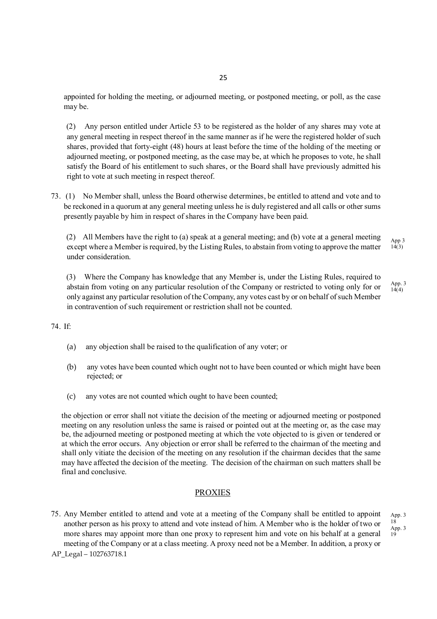appointed for holding the meeting, or adjourned meeting, or postponed meeting, or poll, as the case may be.

(2) Any person entitled under Article 53 to be registered as the holder of any shares may vote at any general meeting in respect thereof in the same manner as if he were the registered holder of such shares, provided that forty-eight (48) hours at least before the time of the holding of the meeting or adjourned meeting, or postponed meeting, as the case may be, at which he proposes to vote, he shall satisfy the Board of his entitlement to such shares, or the Board shall have previously admitted his right to vote at such meeting in respect thereof.

73. (1) No Member shall, unless the Board otherwise determines, be entitled to attend and vote and to be reckoned in a quorum at any general meeting unless he is duly registered and all calls or other sums presently payable by him in respect of shares in the Company have been paid.

(2) All Members have the right to (a) speak at a general meeting; and (b) vote at a general meeting except where a Member is required, by the Listing Rules, to abstain from voting to approve the matter under consideration. App 3  $14(3)$ 

(3) Where the Company has knowledge that any Member is, under the Listing Rules, required to abstain from voting on any particular resolution of the Company or restricted to voting only for or only against any particular resolution of the Company, any votes cast by or on behalf of such Member in contravention of such requirement or restriction shall not be counted. App. 3 14(4)

74. If:

- (a) any objection shall be raised to the qualification of any voter; or
- (b) any votes have been counted which ought not to have been counted or which might have been rejected; or
- (c) any votes are not counted which ought to have been counted;

the objection or error shall not vitiate the decision of the meeting or adjourned meeting or postponed meeting on any resolution unless the same is raised or pointed out at the meeting or, as the case may be, the adjourned meeting or postponed meeting at which the vote objected to is given or tendered or at which the error occurs. Any objection or error shall be referred to the chairman of the meeting and shall only vitiate the decision of the meeting on any resolution if the chairman decides that the same may have affected the decision of the meeting. The decision of the chairman on such matters shall be final and conclusive.

#### PROXIES

75. Any Member entitled to attend and vote at a meeting of the Company shall be entitled to appoint another person as his proxy to attend and vote instead of him. A Member who is the holder of two or more shares may appoint more than one proxy to represent him and vote on his behalf at a general meeting of the Company or at a class meeting. A proxy need not be a Member. In addition, a proxy or

AP\_Legal – 102763718.1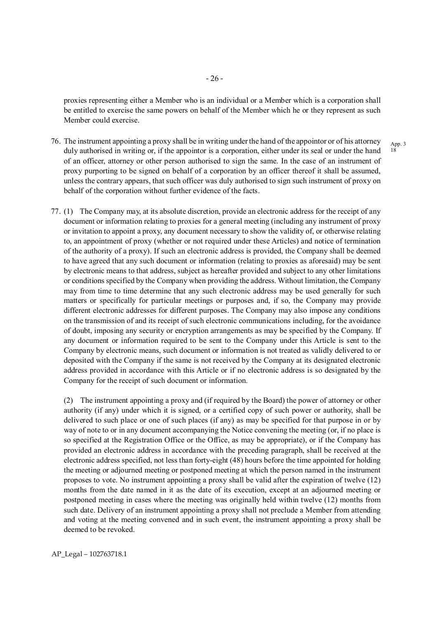proxies representing either a Member who is an individual or a Member which is a corporation shall be entitled to exercise the same powers on behalf of the Member which he or they represent as such Member could exercise.

- 76. The instrument appointing a proxy shall be in writing under the hand of the appointor or of his attorney duly authorised in writing or, if the appointor is a corporation, either under its seal or under the hand of an officer, attorney or other person authorised to sign the same. In the case of an instrument of proxy purporting to be signed on behalf of a corporation by an officer thereof it shall be assumed, unless the contrary appears, that such officer was duly authorised to sign such instrument of proxy on behalf of the corporation without further evidence of the facts.
- 77. (1) The Company may, at its absolute discretion, provide an electronic address for the receipt of any document or information relating to proxies for a general meeting (including any instrument of proxy or invitation to appoint a proxy, any document necessary to show the validity of, or otherwise relating to, an appointment of proxy (whether or not required under these Articles) and notice of termination of the authority of a proxy). If such an electronic address is provided, the Company shall be deemed to have agreed that any such document or information (relating to proxies as aforesaid) may be sent by electronic means to that address, subject as hereafter provided and subject to any other limitations or conditions specified by the Company when providing the address. Without limitation, the Company may from time to time determine that any such electronic address may be used generally for such matters or specifically for particular meetings or purposes and, if so, the Company may provide different electronic addresses for different purposes. The Company may also impose any conditions on the transmission of and its receipt of such electronic communications including, for the avoidance of doubt, imposing any security or encryption arrangements as may be specified by the Company. If any document or information required to be sent to the Company under this Article is sent to the Company by electronic means, such document or information is not treated as validly delivered to or deposited with the Company if the same is not received by the Company at its designated electronic address provided in accordance with this Article or if no electronic address is so designated by the Company for the receipt of such document or information.

(2) The instrument appointing a proxy and (if required by the Board) the power of attorney or other authority (if any) under which it is signed, or a certified copy of such power or authority, shall be delivered to such place or one of such places (if any) as may be specified for that purpose in or by way of note to or in any document accompanying the Notice convening the meeting (or, if no place is so specified at the Registration Office or the Office, as may be appropriate), or if the Company has provided an electronic address in accordance with the preceding paragraph, shall be received at the electronic address specified, not less than forty-eight (48) hours before the time appointed for holding the meeting or adjourned meeting or postponed meeting at which the person named in the instrument proposes to vote. No instrument appointing a proxy shall be valid after the expiration of twelve (12) months from the date named in it as the date of its execution, except at an adjourned meeting or postponed meeting in cases where the meeting was originally held within twelve (12) months from such date. Delivery of an instrument appointing a proxy shall not preclude a Member from attending and voting at the meeting convened and in such event, the instrument appointing a proxy shall be deemed to be revoked.

AP\_Legal – 102763718.1

App. 3 18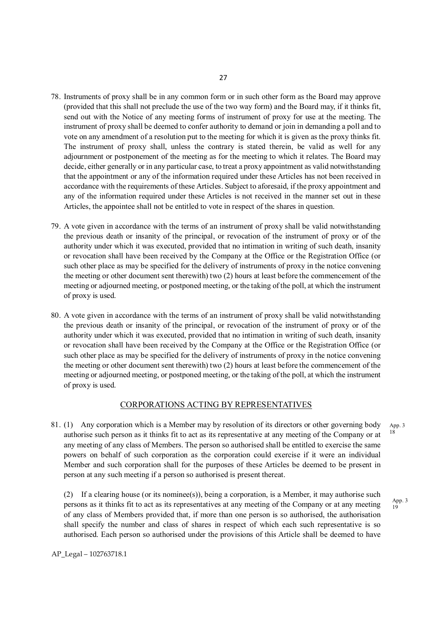- 78. Instruments of proxy shall be in any common form or in such other form as the Board may approve (provided that this shall not preclude the use of the two way form) and the Board may, if it thinks fit, send out with the Notice of any meeting forms of instrument of proxy for use at the meeting. The instrument of proxy shall be deemed to confer authority to demand or join in demanding a poll and to vote on any amendment of a resolution put to the meeting for which it is given as the proxy thinks fit. The instrument of proxy shall, unless the contrary is stated therein, be valid as well for any adjournment or postponement of the meeting as for the meeting to which it relates. The Board may decide, either generally or in any particular case, to treat a proxy appointment as valid notwithstanding that the appointment or any of the information required under these Articles has not been received in accordance with the requirements of these Articles. Subject to aforesaid, if the proxy appointment and any of the information required under these Articles is not received in the manner set out in these Articles, the appointee shall not be entitled to vote in respect of the shares in question.
- 79. A vote given in accordance with the terms of an instrument of proxy shall be valid notwithstanding the previous death or insanity of the principal, or revocation of the instrument of proxy or of the authority under which it was executed, provided that no intimation in writing of such death, insanity or revocation shall have been received by the Company at the Office or the Registration Office (or such other place as may be specified for the delivery of instruments of proxy in the notice convening the meeting or other document sent therewith) two (2) hours at least before the commencement of the meeting or adjourned meeting, or postponed meeting, or the taking of the poll, at which the instrument of proxy is used.
- 80. A vote given in accordance with the terms of an instrument of proxy shall be valid notwithstanding the previous death or insanity of the principal, or revocation of the instrument of proxy or of the authority under which it was executed, provided that no intimation in writing of such death, insanity or revocation shall have been received by the Company at the Office or the Registration Office (or such other place as may be specified for the delivery of instruments of proxy in the notice convening the meeting or other document sent therewith) two (2) hours at least before the commencement of the meeting or adjourned meeting, or postponed meeting, or the taking of the poll, at which the instrument of proxy is used.

# CORPORATIONS ACTING BY REPRESENTATIVES

81. (1) Any corporation which is a Member may by resolution of its directors or other governing body authorise such person as it thinks fit to act as its representative at any meeting of the Company or at any meeting of any class of Members. The person so authorised shall be entitled to exercise the same powers on behalf of such corporation as the corporation could exercise if it were an individual Member and such corporation shall for the purposes of these Articles be deemed to be present in person at any such meeting if a person so authorised is present thereat. 18

(2) If a clearing house (or its nominee(s)), being a corporation, is a Member, it may authorise such persons as it thinks fit to act as its representatives at any meeting of the Company or at any meeting of any class of Members provided that, if more than one person is so authorised, the authorisation shall specify the number and class of shares in respect of which each such representative is so authorised. Each person so authorised under the provisions of this Article shall be deemed to have

App. 3

App. 3  $1\bar{9}$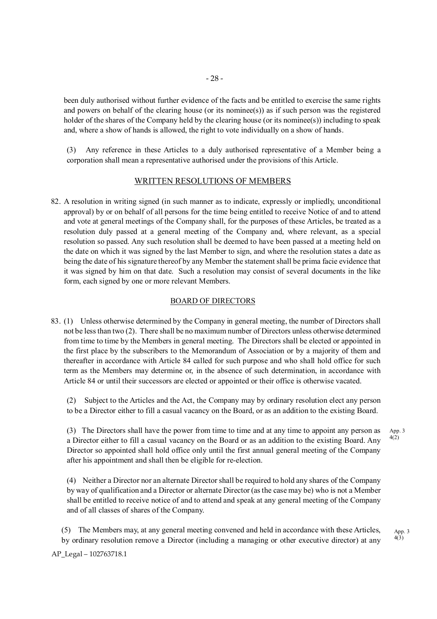been duly authorised without further evidence of the facts and be entitled to exercise the same rights and powers on behalf of the clearing house (or its nominee(s)) as if such person was the registered holder of the shares of the Company held by the clearing house (or its nominee(s)) including to speak and, where a show of hands is allowed, the right to vote individually on a show of hands.

(3) Any reference in these Articles to a duly authorised representative of a Member being a corporation shall mean a representative authorised under the provisions of this Article.

#### WRITTEN RESOLUTIONS OF MEMBERS

82. A resolution in writing signed (in such manner as to indicate, expressly or impliedly, unconditional approval) by or on behalf of all persons for the time being entitled to receive Notice of and to attend and vote at general meetings of the Company shall, for the purposes of these Articles, be treated as a resolution duly passed at a general meeting of the Company and, where relevant, as a special resolution so passed. Any such resolution shall be deemed to have been passed at a meeting held on the date on which it was signed by the last Member to sign, and where the resolution states a date as being the date of his signature thereof by any Member the statement shall be prima facie evidence that it was signed by him on that date. Such a resolution may consist of several documents in the like form, each signed by one or more relevant Members.

#### BOARD OF DIRECTORS

83. (1) Unless otherwise determined by the Company in general meeting, the number of Directors shall not be less than two (2). There shall be no maximum number of Directors unless otherwise determined from time to time by the Members in general meeting. The Directors shall be elected or appointed in the first place by the subscribers to the Memorandum of Association or by a majority of them and thereafter in accordance with Article 84 called for such purpose and who shall hold office for such term as the Members may determine or, in the absence of such determination, in accordance with Article 84 or until their successors are elected or appointed or their office is otherwise vacated.

(2) Subject to the Articles and the Act, the Company may by ordinary resolution elect any person to be a Director either to fill a casual vacancy on the Board, or as an addition to the existing Board.

(3) The Directors shall have the power from time to time and at any time to appoint any person as a Director either to fill a casual vacancy on the Board or as an addition to the existing Board. Any Director so appointed shall hold office only until the first annual general meeting of the Company after his appointment and shall then be eligible for re-election.

(4) Neither a Director nor an alternate Director shall be required to hold any shares of the Company by way of qualification and a Director or alternate Director (as the case may be) who is not a Member shall be entitled to receive notice of and to attend and speak at any general meeting of the Company and of all classes of shares of the Company.

(5) The Members may, at any general meeting convened and held in accordance with these Articles, by ordinary resolution remove a Director (including a managing or other executive director) at any App. 3  $4(3)$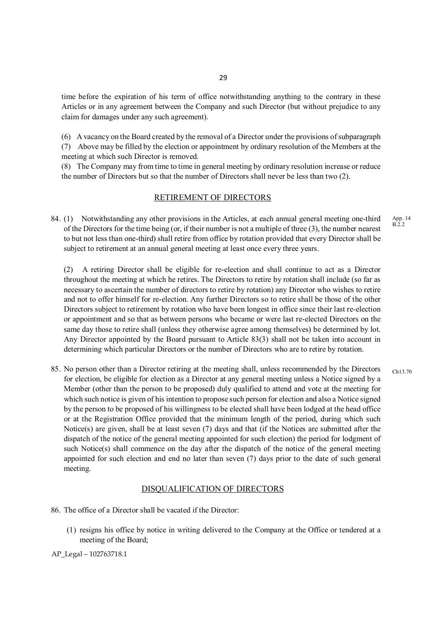time before the expiration of his term of office notwithstanding anything to the contrary in these Articles or in any agreement between the Company and such Director (but without prejudice to any claim for damages under any such agreement).

(6) A vacancy on the Board created by the removal of a Director under the provisions of subparagraph (7) Above may be filled by the election or appointment by ordinary resolution of the Members at the meeting at which such Director is removed.

(8) The Company may from time to time in general meeting by ordinary resolution increase or reduce the number of Directors but so that the number of Directors shall never be less than two (2).

# RETIREMENT OF DIRECTORS

84. (1) Notwithstanding any other provisions in the Articles, at each annual general meeting one-third of the Directors for the time being (or, if their number is not a multiple of three (3), the number nearest to but not less than one-third) shall retire from office by rotation provided that every Director shall be subject to retirement at an annual general meeting at least once every three years.

(2) A retiring Director shall be eligible for re-election and shall continue to act as a Director throughout the meeting at which he retires. The Directors to retire by rotation shall include (so far as necessary to ascertain the number of directors to retire by rotation) any Director who wishes to retire and not to offer himself for re-election. Any further Directors so to retire shall be those of the other Directors subject to retirement by rotation who have been longest in office since their last re-election or appointment and so that as between persons who became or were last re-elected Directors on the same day those to retire shall (unless they otherwise agree among themselves) be determined by lot. Any Director appointed by the Board pursuant to Article 83(3) shall not be taken into account in determining which particular Directors or the number of Directors who are to retire by rotation.

85. No person other than a Director retiring at the meeting shall, unless recommended by the Directors for election, be eligible for election as a Director at any general meeting unless a Notice signed by a Member (other than the person to be proposed) duly qualified to attend and vote at the meeting for which such notice is given of his intention to propose such person for election and also a Notice signed by the person to be proposed of his willingness to be elected shall have been lodged at the head office or at the Registration Office provided that the minimum length of the period, during which such Notice(s) are given, shall be at least seven (7) days and that (if the Notices are submitted after the dispatch of the notice of the general meeting appointed for such election) the period for lodgment of such Notice(s) shall commence on the day after the dispatch of the notice of the general meeting appointed for such election and end no later than seven (7) days prior to the date of such general meeting. Ch13.70

#### DISQUALIFICATION OF DIRECTORS

- 86. The office of a Director shall be vacated if the Director:
	- (1) resigns his office by notice in writing delivered to the Company at the Office or tendered at a meeting of the Board;

#### AP\_Legal – 102763718.1

App. 14  $B.2.2$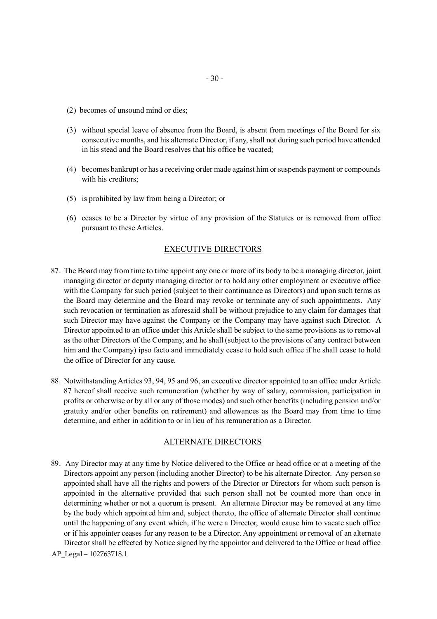- (2) becomes of unsound mind or dies;
- (3) without special leave of absence from the Board, is absent from meetings of the Board for six consecutive months, and his alternate Director, if any, shall not during such period have attended in his stead and the Board resolves that his office be vacated;
- (4) becomes bankrupt or has a receiving order made against him or suspends payment or compounds with his creditors;
- (5) is prohibited by law from being a Director; or
- (6) ceases to be a Director by virtue of any provision of the Statutes or is removed from office pursuant to these Articles.

# EXECUTIVE DIRECTORS

- 87. The Board may from time to time appoint any one or more of its body to be a managing director, joint managing director or deputy managing director or to hold any other employment or executive office with the Company for such period (subject to their continuance as Directors) and upon such terms as the Board may determine and the Board may revoke or terminate any of such appointments. Any such revocation or termination as aforesaid shall be without prejudice to any claim for damages that such Director may have against the Company or the Company may have against such Director. A Director appointed to an office under this Article shall be subject to the same provisions as to removal as the other Directors of the Company, and he shall (subject to the provisions of any contract between him and the Company) ipso facto and immediately cease to hold such office if he shall cease to hold the office of Director for any cause.
- 88. Notwithstanding Articles 93, 94, 95 and 96, an executive director appointed to an office under Article 87 hereof shall receive such remuneration (whether by way of salary, commission, participation in profits or otherwise or by all or any of those modes) and such other benefits (including pension and/or gratuity and/or other benefits on retirement) and allowances as the Board may from time to time determine, and either in addition to or in lieu of his remuneration as a Director.

#### ALTERNATE DIRECTORS

- 89. Any Director may at any time by Notice delivered to the Office or head office or at a meeting of the Directors appoint any person (including another Director) to be his alternate Director. Any person so appointed shall have all the rights and powers of the Director or Directors for whom such person is appointed in the alternative provided that such person shall not be counted more than once in determining whether or not a quorum is present. An alternate Director may be removed at any time by the body which appointed him and, subject thereto, the office of alternate Director shall continue until the happening of any event which, if he were a Director, would cause him to vacate such office or if his appointer ceases for any reason to be a Director. Any appointment or removal of an alternate Director shall be effected by Notice signed by the appointor and delivered to the Office or head office
- AP\_Legal 102763718.1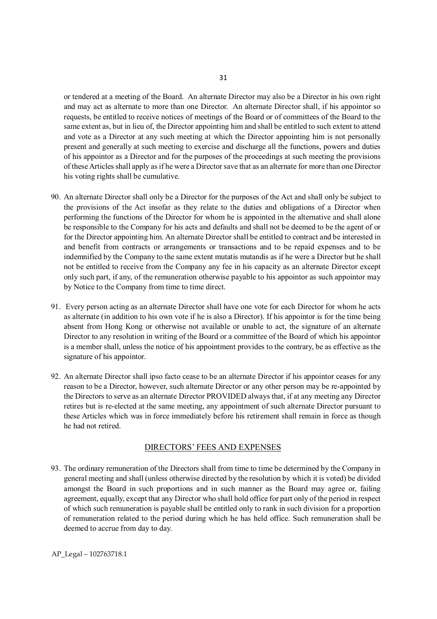or tendered at a meeting of the Board. An alternate Director may also be a Director in his own right and may act as alternate to more than one Director. An alternate Director shall, if his appointor so requests, be entitled to receive notices of meetings of the Board or of committees of the Board to the same extent as, but in lieu of, the Director appointing him and shall be entitled to such extent to attend and vote as a Director at any such meeting at which the Director appointing him is not personally present and generally at such meeting to exercise and discharge all the functions, powers and duties of his appointor as a Director and for the purposes of the proceedings at such meeting the provisions of these Articles shall apply as if he were a Director save that as an alternate for more than one Director his voting rights shall be cumulative.

- 90. An alternate Director shall only be a Director for the purposes of the Act and shall only be subject to the provisions of the Act insofar as they relate to the duties and obligations of a Director when performing the functions of the Director for whom he is appointed in the alternative and shall alone be responsible to the Company for his acts and defaults and shall not be deemed to be the agent of or for the Director appointing him. An alternate Director shall be entitled to contract and be interested in and benefit from contracts or arrangements or transactions and to be repaid expenses and to be indemnified by the Company to the same extent mutatis mutandis as if he were a Director but he shall not be entitled to receive from the Company any fee in his capacity as an alternate Director except only such part, if any, of the remuneration otherwise payable to his appointor as such appointor may by Notice to the Company from time to time direct.
- 91. Every person acting as an alternate Director shall have one vote for each Director for whom he acts as alternate (in addition to his own vote if he is also a Director). If his appointor is for the time being absent from Hong Kong or otherwise not available or unable to act, the signature of an alternate Director to any resolution in writing of the Board or a committee of the Board of which his appointor is a member shall, unless the notice of his appointment provides to the contrary, be as effective as the signature of his appointor.
- 92. An alternate Director shall ipso facto cease to be an alternate Director if his appointor ceases for any reason to be a Director, however, such alternate Director or any other person may be re-appointed by the Directors to serve as an alternate Director PROVIDED always that, if at any meeting any Director retires but is re-elected at the same meeting, any appointment of such alternate Director pursuant to these Articles which was in force immediately before his retirement shall remain in force as though he had not retired.

#### DIRECTORS' FEES AND EXPENSES

93. The ordinary remuneration of the Directors shall from time to time be determined by the Company in general meeting and shall (unless otherwise directed by the resolution by which it is voted) be divided amongst the Board in such proportions and in such manner as the Board may agree or, failing agreement, equally, except that any Director who shall hold office for part only of the period in respect of which such remuneration is payable shall be entitled only to rank in such division for a proportion of remuneration related to the period during which he has held office. Such remuneration shall be deemed to accrue from day to day.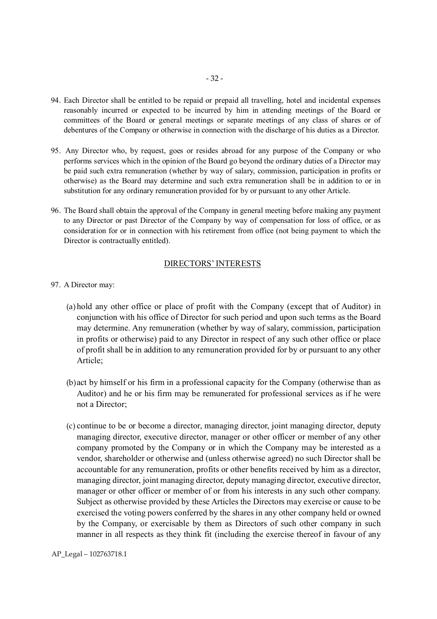- 94. Each Director shall be entitled to be repaid or prepaid all travelling, hotel and incidental expenses reasonably incurred or expected to be incurred by him in attending meetings of the Board or committees of the Board or general meetings or separate meetings of any class of shares or of debentures of the Company or otherwise in connection with the discharge of his duties as a Director.
- 95. Any Director who, by request, goes or resides abroad for any purpose of the Company or who performs services which in the opinion of the Board go beyond the ordinary duties of a Director may be paid such extra remuneration (whether by way of salary, commission, participation in profits or otherwise) as the Board may determine and such extra remuneration shall be in addition to or in substitution for any ordinary remuneration provided for by or pursuant to any other Article.
- 96. The Board shall obtain the approval of the Company in general meeting before making any payment to any Director or past Director of the Company by way of compensation for loss of office, or as consideration for or in connection with his retirement from office (not being payment to which the Director is contractually entitled).

#### DIRECTORS' INTERESTS

- 97. A Director may:
	- (a) hold any other office or place of profit with the Company (except that of Auditor) in conjunction with his office of Director for such period and upon such terms as the Board may determine. Any remuneration (whether by way of salary, commission, participation in profits or otherwise) paid to any Director in respect of any such other office or place of profit shall be in addition to any remuneration provided for by or pursuant to any other Article;
	- (b)act by himself or his firm in a professional capacity for the Company (otherwise than as Auditor) and he or his firm may be remunerated for professional services as if he were not a Director;
	- (c) continue to be or become a director, managing director, joint managing director, deputy managing director, executive director, manager or other officer or member of any other company promoted by the Company or in which the Company may be interested as a vendor, shareholder or otherwise and (unless otherwise agreed) no such Director shall be accountable for any remuneration, profits or other benefits received by him as a director, managing director, joint managing director, deputy managing director, executive director, manager or other officer or member of or from his interests in any such other company. Subject as otherwise provided by these Articles the Directors may exercise or cause to be exercised the voting powers conferred by the shares in any other company held or owned by the Company, or exercisable by them as Directors of such other company in such manner in all respects as they think fit (including the exercise thereof in favour of any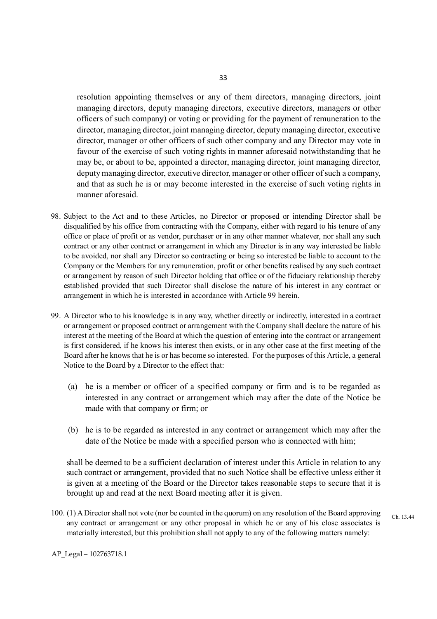resolution appointing themselves or any of them directors, managing directors, joint managing directors, deputy managing directors, executive directors, managers or other officers of such company) or voting or providing for the payment of remuneration to the director, managing director, joint managing director, deputy managing director, executive director, manager or other officers of such other company and any Director may vote in favour of the exercise of such voting rights in manner aforesaid notwithstanding that he may be, or about to be, appointed a director, managing director, joint managing director, deputy managing director, executive director, manager or other officer of such a company, and that as such he is or may become interested in the exercise of such voting rights in manner aforesaid.

- 98. Subject to the Act and to these Articles, no Director or proposed or intending Director shall be disqualified by his office from contracting with the Company, either with regard to his tenure of any office or place of profit or as vendor, purchaser or in any other manner whatever, nor shall any such contract or any other contract or arrangement in which any Director is in any way interested be liable to be avoided, nor shall any Director so contracting or being so interested be liable to account to the Company or the Members for any remuneration, profit or other benefits realised by any such contract or arrangement by reason of such Director holding that office or of the fiduciary relationship thereby established provided that such Director shall disclose the nature of his interest in any contract or arrangement in which he is interested in accordance with Article 99 herein.
- 99. A Director who to his knowledge is in any way, whether directly or indirectly, interested in a contract or arrangement or proposed contract or arrangement with the Company shall declare the nature of his interest at the meeting of the Board at which the question of entering into the contract or arrangement is first considered, if he knows his interest then exists, or in any other case at the first meeting of the Board after he knows that he is or has become so interested. For the purposes of this Article, a general Notice to the Board by a Director to the effect that:
	- (a) he is a member or officer of a specified company or firm and is to be regarded as interested in any contract or arrangement which may after the date of the Notice be made with that company or firm; or
	- (b) he is to be regarded as interested in any contract or arrangement which may after the date of the Notice be made with a specified person who is connected with him;

shall be deemed to be a sufficient declaration of interest under this Article in relation to any such contract or arrangement, provided that no such Notice shall be effective unless either it is given at a meeting of the Board or the Director takes reasonable steps to secure that it is brought up and read at the next Board meeting after it is given.

100. (1) A Director shall not vote (nor be counted in the quorum) on any resolution of the Board approving any contract or arrangement or any other proposal in which he or any of his close associates is materially interested, but this prohibition shall not apply to any of the following matters namely: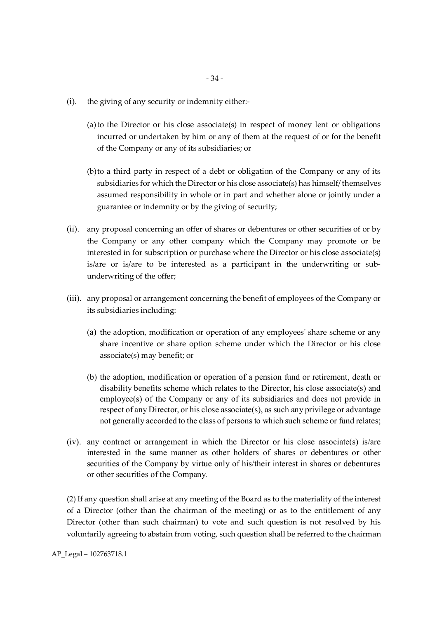- (i). the giving of any security or indemnity either:-
	- (a)to the Director or his close associate(s) in respect of money lent or obligations incurred or undertaken by him or any of them at the request of or for the benefit of the Company or any of its subsidiaries; or
	- (b)to a third party in respect of a debt or obligation of the Company or any of its subsidiaries for which the Director or his close associate(s) has himself/ themselves assumed responsibility in whole or in part and whether alone or jointly under a guarantee or indemnity or by the giving of security;
- (ii). any proposal concerning an offer of shares or debentures or other securities of or by the Company or any other company which the Company may promote or be interested in for subscription or purchase where the Director or his close associate(s) is/are or is/are to be interested as a participant in the underwriting or subunderwriting of the offer;
- (iii). any proposal or arrangement concerning the benefit of employees of the Company or its subsidiaries including:
	- (a) the adoption, modification or operation of any employeesʹ share scheme or any share incentive or share option scheme under which the Director or his close associate(s) may benefit; or
	- (b) the adoption, modification or operation of a pension fund or retirement, death or disability benefits scheme which relates to the Director, his close associate(s) and employee(s) of the Company or any of its subsidiaries and does not provide in respect of any Director, or his close associate(s), as such any privilege or advantage not generally accorded to the class of persons to which such scheme or fund relates;
- (iv). any contract or arrangement in which the Director or his close associate(s) is/are interested in the same manner as other holders of shares or debentures or other securities of the Company by virtue only of his/their interest in shares or debentures or other securities of the Company.

(2) If any question shall arise at any meeting of the Board as to the materiality of the interest of a Director (other than the chairman of the meeting) or as to the entitlement of any Director (other than such chairman) to vote and such question is not resolved by his voluntarily agreeing to abstain from voting, such question shall be referred to the chairman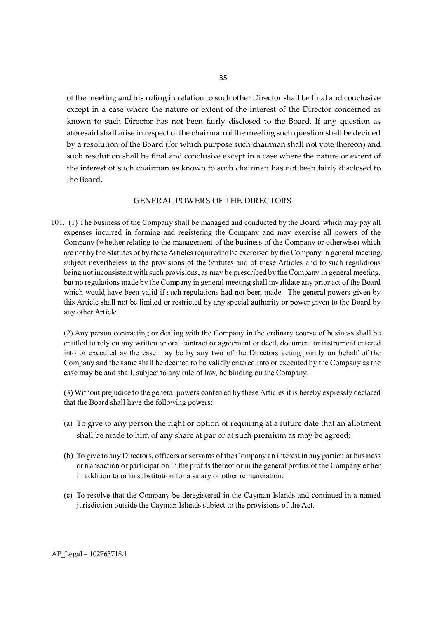of the meeting and his ruling in relation to such other Director shall be final and conclusive except in a case where the nature or extent of the interest of the Director concerned as known to such Director has not been fairly disclosed to the Board. If any question as aforesaid shall arise in respect of the chairman of the meeting such question shall be decided by a resolution of the Board (for which purpose such chairman shall not vote thereon) and such resolution shall be final and conclusive except in a case where the nature or extent of the interest of such chairman as known to such chairman has not been fairly disclosed to the Board.

#### GENERAL POWERS OF THE DIRECTORS

101. (1) The business of the Company shall be managed and conducted by the Board, which may pay all expenses incurred in forming and registering the Company and may exercise all powers of the Company (whether relating to the management of the business of the Company or otherwise) which are not by the Statutes or by these Articles required to be exercised by the Company in general meeting, subject nevertheless to the provisions of the Statutes and of these Articles and to such regulations being not inconsistent with such provisions, as may be prescribed by the Company in general meeting, but no regulations made by the Company in general meeting shall invalidate any prior act of the Board which would have been valid if such regulations had not been made. The general powers given by this Article shall not be limited or restricted by any special authority or power given to the Board by any other Article.

(2) Any person contracting or dealing with the Company in the ordinary course of business shall be entitled to rely on any written or oral contract or agreement or deed, document or instrument entered into or executed as the case may be by any two of the Directors acting jointly on behalf of the Company and the same shall be deemed to be validly entered into or executed by the Company as the case may be and shall, subject to any rule of law, be binding on the Company.

(3) Without prejudice to the general powers conferred by these Articles it is hereby expressly declared that the Board shall have the following powers:

- (a) To give to any person the right or option of requiring at a future date that an allotment shall be made to him of any share at par or at such premium as may be agreed;
- (b) To give to any Directors, officers or servants of the Company an interest in any particular business or transaction or participation in the profits thereof or in the general profits of the Company either in addition to or in substitution for a salary or other remuneration.
- (c) To resolve that the Company be deregistered in the Cayman Islands and continued in a named jurisdiction outside the Cayman Islands subject to the provisions of the Act.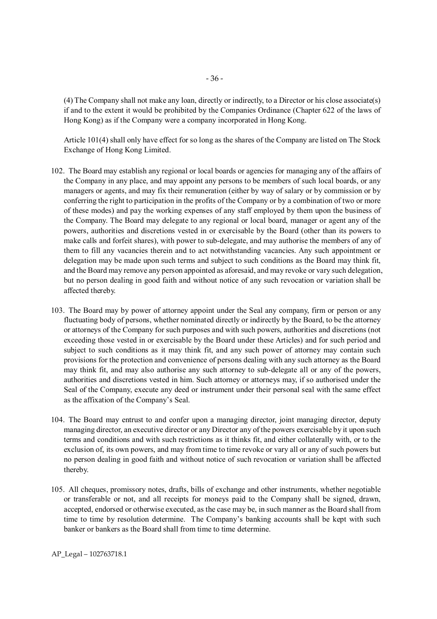(4) The Company shall not make any loan, directly or indirectly, to a Director or his close associate(s) if and to the extent it would be prohibited by the Companies Ordinance (Chapter 622 of the laws of Hong Kong) as if the Company were a company incorporated in Hong Kong.

Article 101(4) shall only have effect for so long as the shares of the Company are listed on The Stock Exchange of Hong Kong Limited.

- 102. The Board may establish any regional or local boards or agencies for managing any of the affairs of the Company in any place, and may appoint any persons to be members of such local boards, or any managers or agents, and may fix their remuneration (either by way of salary or by commission or by conferring the right to participation in the profits of the Company or by a combination of two or more of these modes) and pay the working expenses of any staff employed by them upon the business of the Company. The Board may delegate to any regional or local board, manager or agent any of the powers, authorities and discretions vested in or exercisable by the Board (other than its powers to make calls and forfeit shares), with power to sub-delegate, and may authorise the members of any of them to fill any vacancies therein and to act notwithstanding vacancies. Any such appointment or delegation may be made upon such terms and subject to such conditions as the Board may think fit, and the Board may remove any person appointed as aforesaid, and may revoke or vary such delegation, but no person dealing in good faith and without notice of any such revocation or variation shall be affected thereby.
- 103. The Board may by power of attorney appoint under the Seal any company, firm or person or any fluctuating body of persons, whether nominated directly or indirectly by the Board, to be the attorney or attorneys of the Company for such purposes and with such powers, authorities and discretions (not exceeding those vested in or exercisable by the Board under these Articles) and for such period and subject to such conditions as it may think fit, and any such power of attorney may contain such provisions for the protection and convenience of persons dealing with any such attorney as the Board may think fit, and may also authorise any such attorney to sub-delegate all or any of the powers, authorities and discretions vested in him. Such attorney or attorneys may, if so authorised under the Seal of the Company, execute any deed or instrument under their personal seal with the same effect as the affixation of the Company's Seal.
- 104. The Board may entrust to and confer upon a managing director, joint managing director, deputy managing director, an executive director or any Director any of the powers exercisable by it upon such terms and conditions and with such restrictions as it thinks fit, and either collaterally with, or to the exclusion of, its own powers, and may from time to time revoke or vary all or any of such powers but no person dealing in good faith and without notice of such revocation or variation shall be affected thereby.
- 105. All cheques, promissory notes, drafts, bills of exchange and other instruments, whether negotiable or transferable or not, and all receipts for moneys paid to the Company shall be signed, drawn, accepted, endorsed or otherwise executed, as the case may be, in such manner as the Board shall from time to time by resolution determine. The Company's banking accounts shall be kept with such banker or bankers as the Board shall from time to time determine.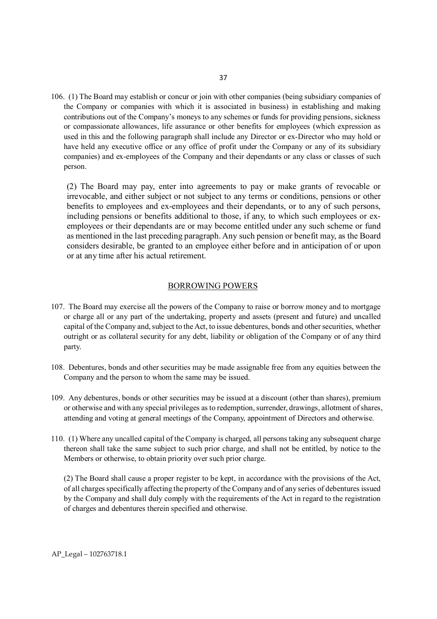106. (1) The Board may establish or concur or join with other companies (being subsidiary companies of the Company or companies with which it is associated in business) in establishing and making contributions out of the Company's moneys to any schemes or funds for providing pensions, sickness or compassionate allowances, life assurance or other benefits for employees (which expression as used in this and the following paragraph shall include any Director or ex-Director who may hold or have held any executive office or any office of profit under the Company or any of its subsidiary companies) and ex-employees of the Company and their dependants or any class or classes of such person.

(2) The Board may pay, enter into agreements to pay or make grants of revocable or irrevocable, and either subject or not subject to any terms or conditions, pensions or other benefits to employees and ex-employees and their dependants, or to any of such persons, including pensions or benefits additional to those, if any, to which such employees or exemployees or their dependants are or may become entitled under any such scheme or fund as mentioned in the last preceding paragraph. Any such pension or benefit may, as the Board considers desirable, be granted to an employee either before and in anticipation of or upon or at any time after his actual retirement.

#### BORROWING POWERS

- 107. The Board may exercise all the powers of the Company to raise or borrow money and to mortgage or charge all or any part of the undertaking, property and assets (present and future) and uncalled capital of the Company and, subject to the Act, to issue debentures, bonds and other securities, whether outright or as collateral security for any debt, liability or obligation of the Company or of any third party.
- 108. Debentures, bonds and other securities may be made assignable free from any equities between the Company and the person to whom the same may be issued.
- 109. Any debentures, bonds or other securities may be issued at a discount (other than shares), premium or otherwise and with any special privileges as to redemption, surrender, drawings, allotment of shares, attending and voting at general meetings of the Company, appointment of Directors and otherwise.
- 110. (1) Where any uncalled capital of the Company is charged, all persons taking any subsequent charge thereon shall take the same subject to such prior charge, and shall not be entitled, by notice to the Members or otherwise, to obtain priority over such prior charge.

(2) The Board shall cause a proper register to be kept, in accordance with the provisions of the Act, of all charges specifically affecting the property of the Company and of any series of debentures issued by the Company and shall duly comply with the requirements of the Act in regard to the registration of charges and debentures therein specified and otherwise.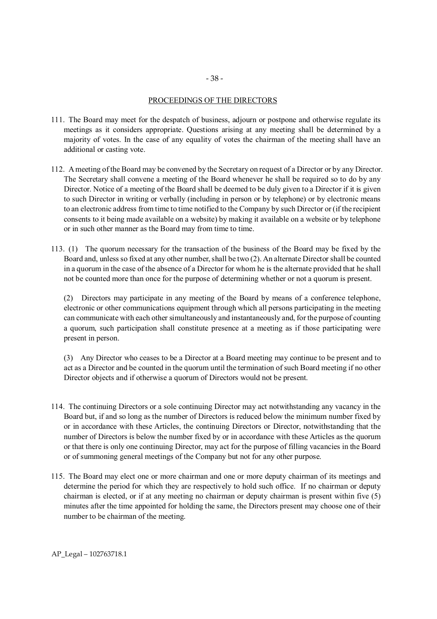#### - 38 -

#### PROCEEDINGS OF THE DIRECTORS

- 111. The Board may meet for the despatch of business, adjourn or postpone and otherwise regulate its meetings as it considers appropriate. Questions arising at any meeting shall be determined by a majority of votes. In the case of any equality of votes the chairman of the meeting shall have an additional or casting vote.
- 112. A meeting of the Board may be convened by the Secretary on request of a Director or by any Director. The Secretary shall convene a meeting of the Board whenever he shall be required so to do by any Director. Notice of a meeting of the Board shall be deemed to be duly given to a Director if it is given to such Director in writing or verbally (including in person or by telephone) or by electronic means to an electronic address from time to time notified to the Company by such Director or (if the recipient consents to it being made available on a website) by making it available on a website or by telephone or in such other manner as the Board may from time to time.
- 113. (1) The quorum necessary for the transaction of the business of the Board may be fixed by the Board and, unless so fixed at any other number, shall be two (2). An alternate Director shall be counted in a quorum in the case of the absence of a Director for whom he is the alternate provided that he shall not be counted more than once for the purpose of determining whether or not a quorum is present.

(2) Directors may participate in any meeting of the Board by means of a conference telephone, electronic or other communications equipment through which all persons participating in the meeting can communicate with each other simultaneously and instantaneously and, for the purpose of counting a quorum, such participation shall constitute presence at a meeting as if those participating were present in person.

(3) Any Director who ceases to be a Director at a Board meeting may continue to be present and to act as a Director and be counted in the quorum until the termination of such Board meeting if no other Director objects and if otherwise a quorum of Directors would not be present.

- 114. The continuing Directors or a sole continuing Director may act notwithstanding any vacancy in the Board but, if and so long as the number of Directors is reduced below the minimum number fixed by or in accordance with these Articles, the continuing Directors or Director, notwithstanding that the number of Directors is below the number fixed by or in accordance with these Articles as the quorum or that there is only one continuing Director, may act for the purpose of filling vacancies in the Board or of summoning general meetings of the Company but not for any other purpose.
- 115. The Board may elect one or more chairman and one or more deputy chairman of its meetings and determine the period for which they are respectively to hold such office. If no chairman or deputy chairman is elected, or if at any meeting no chairman or deputy chairman is present within five (5) minutes after the time appointed for holding the same, the Directors present may choose one of their number to be chairman of the meeting.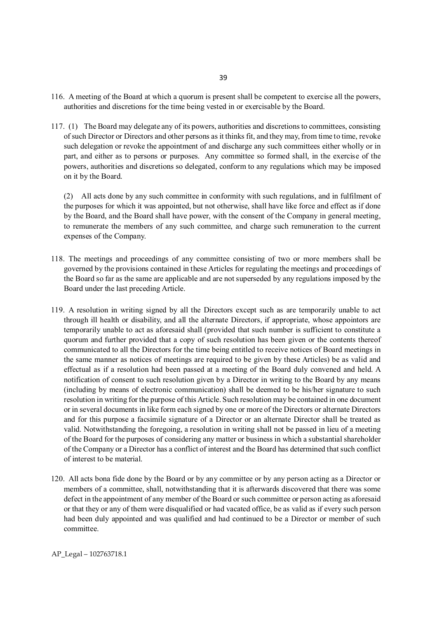- 116. A meeting of the Board at which a quorum is present shall be competent to exercise all the powers, authorities and discretions for the time being vested in or exercisable by the Board.
- 117. (1) The Board may delegate any of its powers, authorities and discretions to committees, consisting of such Director or Directors and other persons as it thinks fit, and they may, from time to time, revoke such delegation or revoke the appointment of and discharge any such committees either wholly or in part, and either as to persons or purposes. Any committee so formed shall, in the exercise of the powers, authorities and discretions so delegated, conform to any regulations which may be imposed on it by the Board.

(2) All acts done by any such committee in conformity with such regulations, and in fulfilment of the purposes for which it was appointed, but not otherwise, shall have like force and effect as if done by the Board, and the Board shall have power, with the consent of the Company in general meeting, to remunerate the members of any such committee, and charge such remuneration to the current expenses of the Company.

- 118. The meetings and proceedings of any committee consisting of two or more members shall be governed by the provisions contained in these Articles for regulating the meetings and proceedings of the Board so far as the same are applicable and are not superseded by any regulations imposed by the Board under the last preceding Article.
- 119. A resolution in writing signed by all the Directors except such as are temporarily unable to act through ill health or disability, and all the alternate Directors, if appropriate, whose appointors are temporarily unable to act as aforesaid shall (provided that such number is sufficient to constitute a quorum and further provided that a copy of such resolution has been given or the contents thereof communicated to all the Directors for the time being entitled to receive notices of Board meetings in the same manner as notices of meetings are required to be given by these Articles) be as valid and effectual as if a resolution had been passed at a meeting of the Board duly convened and held. A notification of consent to such resolution given by a Director in writing to the Board by any means (including by means of electronic communication) shall be deemed to be his/her signature to such resolution in writing for the purpose of this Article. Such resolution may be contained in one document or in several documents in like form each signed by one or more of the Directors or alternate Directors and for this purpose a facsimile signature of a Director or an alternate Director shall be treated as valid. Notwithstanding the foregoing, a resolution in writing shall not be passed in lieu of a meeting of the Board for the purposes of considering any matter or business in which a substantial shareholder of the Company or a Director has a conflict of interest and the Board has determined that such conflict of interest to be material.
- 120. All acts bona fide done by the Board or by any committee or by any person acting as a Director or members of a committee, shall, notwithstanding that it is afterwards discovered that there was some defect in the appointment of any member of the Board or such committee or person acting as aforesaid or that they or any of them were disqualified or had vacated office, be as valid as if every such person had been duly appointed and was qualified and had continued to be a Director or member of such committee.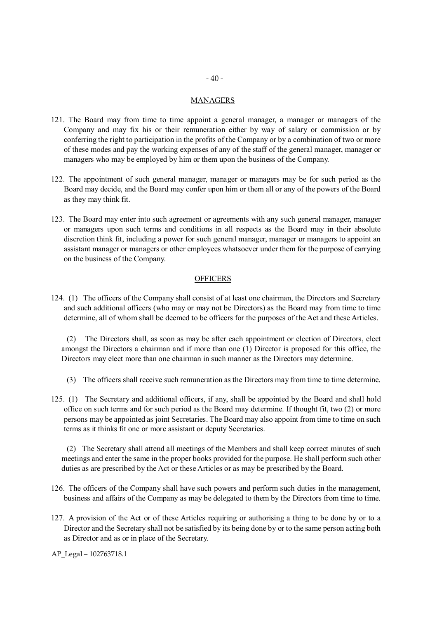#### **MANAGERS**

- 121. The Board may from time to time appoint a general manager, a manager or managers of the Company and may fix his or their remuneration either by way of salary or commission or by conferring the right to participation in the profits of the Company or by a combination of two or more of these modes and pay the working expenses of any of the staff of the general manager, manager or managers who may be employed by him or them upon the business of the Company.
- 122. The appointment of such general manager, manager or managers may be for such period as the Board may decide, and the Board may confer upon him or them all or any of the powers of the Board as they may think fit.
- 123. The Board may enter into such agreement or agreements with any such general manager, manager or managers upon such terms and conditions in all respects as the Board may in their absolute discretion think fit, including a power for such general manager, manager or managers to appoint an assistant manager or managers or other employees whatsoever under them for the purpose of carrying on the business of the Company.

#### **OFFICERS**

124. (1) The officers of the Company shall consist of at least one chairman, the Directors and Secretary and such additional officers (who may or may not be Directors) as the Board may from time to time determine, all of whom shall be deemed to be officers for the purposes of the Act and these Articles.

(2) The Directors shall, as soon as may be after each appointment or election of Directors, elect amongst the Directors a chairman and if more than one (1) Director is proposed for this office, the Directors may elect more than one chairman in such manner as the Directors may determine.

- (3) The officers shall receive such remuneration as the Directors may from time to time determine.
- 125. (1) The Secretary and additional officers, if any, shall be appointed by the Board and shall hold office on such terms and for such period as the Board may determine. If thought fit, two (2) or more persons may be appointed as joint Secretaries. The Board may also appoint from time to time on such terms as it thinks fit one or more assistant or deputy Secretaries.

(2) The Secretary shall attend all meetings of the Members and shall keep correct minutes of such meetings and enter the same in the proper books provided for the purpose. He shall perform such other duties as are prescribed by the Act or these Articles or as may be prescribed by the Board.

- 126. The officers of the Company shall have such powers and perform such duties in the management, business and affairs of the Company as may be delegated to them by the Directors from time to time.
- 127. A provision of the Act or of these Articles requiring or authorising a thing to be done by or to a Director and the Secretary shall not be satisfied by its being done by or to the same person acting both as Director and as or in place of the Secretary.
- AP\_Legal 102763718.1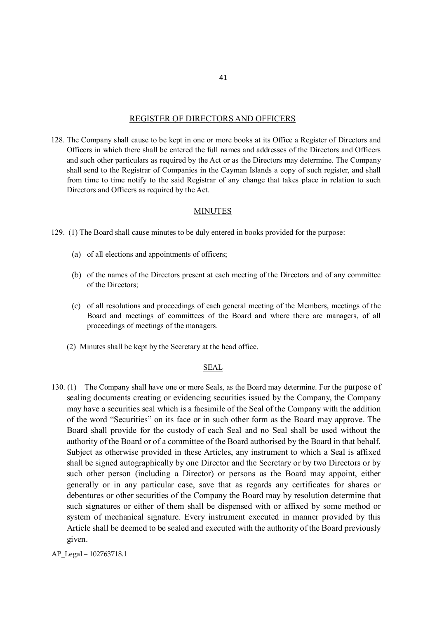#### REGISTER OF DIRECTORS AND OFFICERS

128. The Company shall cause to be kept in one or more books at its Office a Register of Directors and Officers in which there shall be entered the full names and addresses of the Directors and Officers and such other particulars as required by the Act or as the Directors may determine. The Company shall send to the Registrar of Companies in the Cayman Islands a copy of such register, and shall from time to time notify to the said Registrar of any change that takes place in relation to such Directors and Officers as required by the Act.

#### MINUTES

129. (1) The Board shall cause minutes to be duly entered in books provided for the purpose:

- (a) of all elections and appointments of officers;
- (b) of the names of the Directors present at each meeting of the Directors and of any committee of the Directors;
- (c) of all resolutions and proceedings of each general meeting of the Members, meetings of the Board and meetings of committees of the Board and where there are managers, of all proceedings of meetings of the managers.
- (2) Minutes shall be kept by the Secretary at the head office.

#### **SEAL**

- 130. (1) The Company shall have one or more Seals, as the Board may determine. For the purpose of sealing documents creating or evidencing securities issued by the Company, the Company may have a securities seal which is a facsimile of the Seal of the Company with the addition of the word "Securities" on its face or in such other form as the Board may approve. The Board shall provide for the custody of each Seal and no Seal shall be used without the authority of the Board or of a committee of the Board authorised by the Board in that behalf. Subject as otherwise provided in these Articles, any instrument to which a Seal is affixed shall be signed autographically by one Director and the Secretary or by two Directors or by such other person (including a Director) or persons as the Board may appoint, either generally or in any particular case, save that as regards any certificates for shares or debentures or other securities of the Company the Board may by resolution determine that such signatures or either of them shall be dispensed with or affixed by some method or system of mechanical signature. Every instrument executed in manner provided by this Article shall be deemed to be sealed and executed with the authority of the Board previously given.
- AP\_Legal 102763718.1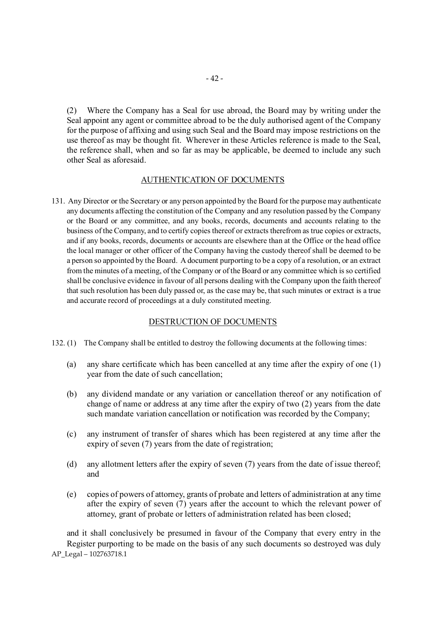(2) Where the Company has a Seal for use abroad, the Board may by writing under the Seal appoint any agent or committee abroad to be the duly authorised agent of the Company for the purpose of affixing and using such Seal and the Board may impose restrictions on the use thereof as may be thought fit. Wherever in these Articles reference is made to the Seal, the reference shall, when and so far as may be applicable, be deemed to include any such other Seal as aforesaid.

# AUTHENTICATION OF DOCUMENTS

131. Any Director or the Secretary or any person appointed by the Board for the purpose may authenticate any documents affecting the constitution of the Company and any resolution passed by the Company or the Board or any committee, and any books, records, documents and accounts relating to the business of the Company, and to certify copies thereof or extracts therefrom as true copies or extracts, and if any books, records, documents or accounts are elsewhere than at the Office or the head office the local manager or other officer of the Company having the custody thereof shall be deemed to be a person so appointed by the Board. A document purporting to be a copy of a resolution, or an extract from the minutes of a meeting, of the Company or of the Board or any committee which is so certified shall be conclusive evidence in favour of all persons dealing with the Company upon the faith thereof that such resolution has been duly passed or, as the case may be, that such minutes or extract is a true and accurate record of proceedings at a duly constituted meeting.

# DESTRUCTION OF DOCUMENTS

- 132. (1) The Company shall be entitled to destroy the following documents at the following times:
	- (a) any share certificate which has been cancelled at any time after the expiry of one (1) year from the date of such cancellation;
	- (b) any dividend mandate or any variation or cancellation thereof or any notification of change of name or address at any time after the expiry of two (2) years from the date such mandate variation cancellation or notification was recorded by the Company;
	- (c) any instrument of transfer of shares which has been registered at any time after the expiry of seven (7) years from the date of registration;
	- (d) any allotment letters after the expiry of seven (7) years from the date of issue thereof; and
	- (e) copies of powers of attorney, grants of probate and letters of administration at any time after the expiry of seven (7) years after the account to which the relevant power of attorney, grant of probate or letters of administration related has been closed;

AP\_Legal – 102763718.1 and it shall conclusively be presumed in favour of the Company that every entry in the Register purporting to be made on the basis of any such documents so destroyed was duly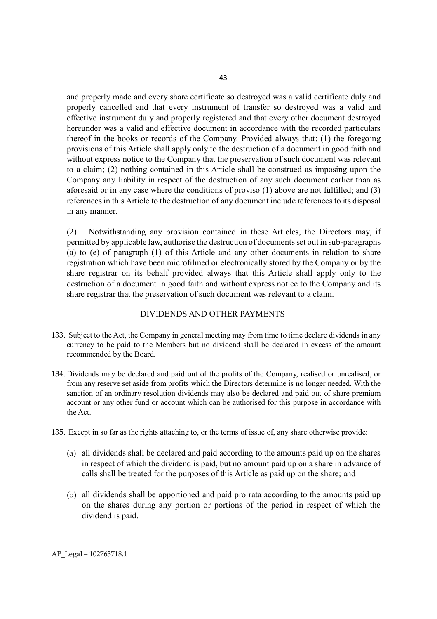and properly made and every share certificate so destroyed was a valid certificate duly and properly cancelled and that every instrument of transfer so destroyed was a valid and effective instrument duly and properly registered and that every other document destroyed hereunder was a valid and effective document in accordance with the recorded particulars thereof in the books or records of the Company. Provided always that: (1) the foregoing provisions of this Article shall apply only to the destruction of a document in good faith and without express notice to the Company that the preservation of such document was relevant to a claim; (2) nothing contained in this Article shall be construed as imposing upon the Company any liability in respect of the destruction of any such document earlier than as aforesaid or in any case where the conditions of proviso (1) above are not fulfilled; and (3) references in this Article to the destruction of any document include references to its disposal in any manner.

(2) Notwithstanding any provision contained in these Articles, the Directors may, if permitted by applicable law, authorise the destruction of documents set out in sub-paragraphs (a) to (e) of paragraph (1) of this Article and any other documents in relation to share registration which have been microfilmed or electronically stored by the Company or by the share registrar on its behalf provided always that this Article shall apply only to the destruction of a document in good faith and without express notice to the Company and its share registrar that the preservation of such document was relevant to a claim.

#### DIVIDENDS AND OTHER PAYMENTS

- 133. Subject to the Act, the Company in general meeting may from time to time declare dividends in any currency to be paid to the Members but no dividend shall be declared in excess of the amount recommended by the Board.
- 134. Dividends may be declared and paid out of the profits of the Company, realised or unrealised, or from any reserve set aside from profits which the Directors determine is no longer needed. With the sanction of an ordinary resolution dividends may also be declared and paid out of share premium account or any other fund or account which can be authorised for this purpose in accordance with the Act.
- 135. Except in so far as the rights attaching to, or the terms of issue of, any share otherwise provide:
	- (a) all dividends shall be declared and paid according to the amounts paid up on the shares in respect of which the dividend is paid, but no amount paid up on a share in advance of calls shall be treated for the purposes of this Article as paid up on the share; and
	- (b) all dividends shall be apportioned and paid pro rata according to the amounts paid up on the shares during any portion or portions of the period in respect of which the dividend is paid.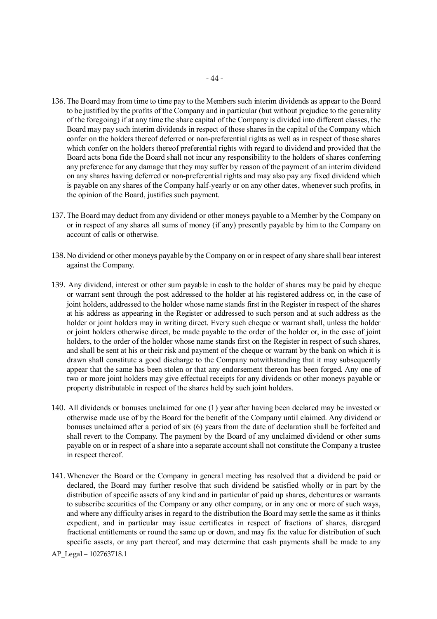- 136. The Board may from time to time pay to the Members such interim dividends as appear to the Board to be justified by the profits of the Company and in particular (but without prejudice to the generality of the foregoing) if at any time the share capital of the Company is divided into different classes, the Board may pay such interim dividends in respect of those shares in the capital of the Company which confer on the holders thereof deferred or non-preferential rights as well as in respect of those shares which confer on the holders thereof preferential rights with regard to dividend and provided that the Board acts bona fide the Board shall not incur any responsibility to the holders of shares conferring any preference for any damage that they may suffer by reason of the payment of an interim dividend on any shares having deferred or non-preferential rights and may also pay any fixed dividend which is payable on any shares of the Company half-yearly or on any other dates, whenever such profits, in the opinion of the Board, justifies such payment.
- 137. The Board may deduct from any dividend or other moneys payable to a Member by the Company on or in respect of any shares all sums of money (if any) presently payable by him to the Company on account of calls or otherwise.
- 138. No dividend or other moneys payable by the Company on or in respect of any share shall bear interest against the Company.
- 139. Any dividend, interest or other sum payable in cash to the holder of shares may be paid by cheque or warrant sent through the post addressed to the holder at his registered address or, in the case of joint holders, addressed to the holder whose name stands first in the Register in respect of the shares at his address as appearing in the Register or addressed to such person and at such address as the holder or joint holders may in writing direct. Every such cheque or warrant shall, unless the holder or joint holders otherwise direct, be made payable to the order of the holder or, in the case of joint holders, to the order of the holder whose name stands first on the Register in respect of such shares, and shall be sent at his or their risk and payment of the cheque or warrant by the bank on which it is drawn shall constitute a good discharge to the Company notwithstanding that it may subsequently appear that the same has been stolen or that any endorsement thereon has been forged. Any one of two or more joint holders may give effectual receipts for any dividends or other moneys payable or property distributable in respect of the shares held by such joint holders.
- 140. All dividends or bonuses unclaimed for one (1) year after having been declared may be invested or otherwise made use of by the Board for the benefit of the Company until claimed. Any dividend or bonuses unclaimed after a period of six (6) years from the date of declaration shall be forfeited and shall revert to the Company. The payment by the Board of any unclaimed dividend or other sums payable on or in respect of a share into a separate account shall not constitute the Company a trustee in respect thereof.
- 141. Whenever the Board or the Company in general meeting has resolved that a dividend be paid or declared, the Board may further resolve that such dividend be satisfied wholly or in part by the distribution of specific assets of any kind and in particular of paid up shares, debentures or warrants to subscribe securities of the Company or any other company, or in any one or more of such ways, and where any difficulty arises in regard to the distribution the Board may settle the same as it thinks expedient, and in particular may issue certificates in respect of fractions of shares, disregard fractional entitlements or round the same up or down, and may fix the value for distribution of such specific assets, or any part thereof, and may determine that cash payments shall be made to any

AP\_Legal – 102763718.1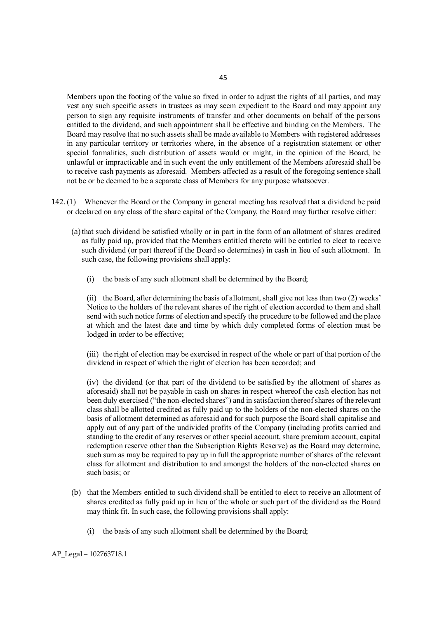Members upon the footing of the value so fixed in order to adjust the rights of all parties, and may vest any such specific assets in trustees as may seem expedient to the Board and may appoint any person to sign any requisite instruments of transfer and other documents on behalf of the persons entitled to the dividend, and such appointment shall be effective and binding on the Members. The Board may resolve that no such assets shall be made available to Members with registered addresses in any particular territory or territories where, in the absence of a registration statement or other special formalities, such distribution of assets would or might, in the opinion of the Board, be unlawful or impracticable and in such event the only entitlement of the Members aforesaid shall be to receive cash payments as aforesaid. Members affected as a result of the foregoing sentence shall not be or be deemed to be a separate class of Members for any purpose whatsoever.

- 142. (1) Whenever the Board or the Company in general meeting has resolved that a dividend be paid or declared on any class of the share capital of the Company, the Board may further resolve either:
	- (a)that such dividend be satisfied wholly or in part in the form of an allotment of shares credited as fully paid up, provided that the Members entitled thereto will be entitled to elect to receive such dividend (or part thereof if the Board so determines) in cash in lieu of such allotment. In such case, the following provisions shall apply:
		- (i) the basis of any such allotment shall be determined by the Board;

(ii) the Board, after determining the basis of allotment, shall give not less than two (2) weeks' Notice to the holders of the relevant shares of the right of election accorded to them and shall send with such notice forms of election and specify the procedure to be followed and the place at which and the latest date and time by which duly completed forms of election must be lodged in order to be effective;

(iii) the right of election may be exercised in respect of the whole or part of that portion of the dividend in respect of which the right of election has been accorded; and

(iv) the dividend (or that part of the dividend to be satisfied by the allotment of shares as aforesaid) shall not be payable in cash on shares in respect whereof the cash election has not been duly exercised ("the non-elected shares") and in satisfaction thereof shares of the relevant class shall be allotted credited as fully paid up to the holders of the non-elected shares on the basis of allotment determined as aforesaid and for such purpose the Board shall capitalise and apply out of any part of the undivided profits of the Company (including profits carried and standing to the credit of any reserves or other special account, share premium account, capital redemption reserve other than the Subscription Rights Reserve) as the Board may determine, such sum as may be required to pay up in full the appropriate number of shares of the relevant class for allotment and distribution to and amongst the holders of the non-elected shares on such basis; or

- (b) that the Members entitled to such dividend shall be entitled to elect to receive an allotment of shares credited as fully paid up in lieu of the whole or such part of the dividend as the Board may think fit. In such case, the following provisions shall apply:
	- (i) the basis of any such allotment shall be determined by the Board;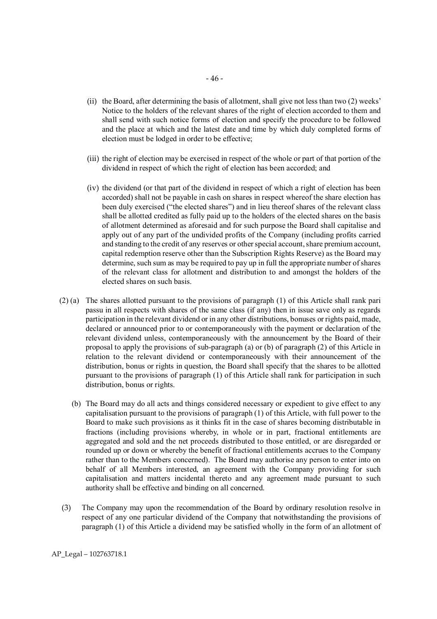- (ii) the Board, after determining the basis of allotment, shall give not less than two (2) weeks' Notice to the holders of the relevant shares of the right of election accorded to them and shall send with such notice forms of election and specify the procedure to be followed and the place at which and the latest date and time by which duly completed forms of election must be lodged in order to be effective;
- (iii) the right of election may be exercised in respect of the whole or part of that portion of the dividend in respect of which the right of election has been accorded; and
- (iv) the dividend (or that part of the dividend in respect of which a right of election has been accorded) shall not be payable in cash on shares in respect whereof the share election has been duly exercised ("the elected shares") and in lieu thereof shares of the relevant class shall be allotted credited as fully paid up to the holders of the elected shares on the basis of allotment determined as aforesaid and for such purpose the Board shall capitalise and apply out of any part of the undivided profits of the Company (including profits carried and standing to the credit of any reserves or other special account, share premium account, capital redemption reserve other than the Subscription Rights Reserve) as the Board may determine, such sum as may be required to pay up in full the appropriate number of shares of the relevant class for allotment and distribution to and amongst the holders of the elected shares on such basis.
- (2) (a) The shares allotted pursuant to the provisions of paragraph (1) of this Article shall rank pari passu in all respects with shares of the same class (if any) then in issue save only as regards participation in the relevant dividend or in any other distributions, bonuses or rights paid, made, declared or announced prior to or contemporaneously with the payment or declaration of the relevant dividend unless, contemporaneously with the announcement by the Board of their proposal to apply the provisions of sub-paragraph (a) or (b) of paragraph (2) of this Article in relation to the relevant dividend or contemporaneously with their announcement of the distribution, bonus or rights in question, the Board shall specify that the shares to be allotted pursuant to the provisions of paragraph (1) of this Article shall rank for participation in such distribution, bonus or rights.
	- (b) The Board may do all acts and things considered necessary or expedient to give effect to any capitalisation pursuant to the provisions of paragraph (1) of this Article, with full power to the Board to make such provisions as it thinks fit in the case of shares becoming distributable in fractions (including provisions whereby, in whole or in part, fractional entitlements are aggregated and sold and the net proceeds distributed to those entitled, or are disregarded or rounded up or down or whereby the benefit of fractional entitlements accrues to the Company rather than to the Members concerned). The Board may authorise any person to enter into on behalf of all Members interested, an agreement with the Company providing for such capitalisation and matters incidental thereto and any agreement made pursuant to such authority shall be effective and binding on all concerned.
- (3) The Company may upon the recommendation of the Board by ordinary resolution resolve in respect of any one particular dividend of the Company that notwithstanding the provisions of paragraph (1) of this Article a dividend may be satisfied wholly in the form of an allotment of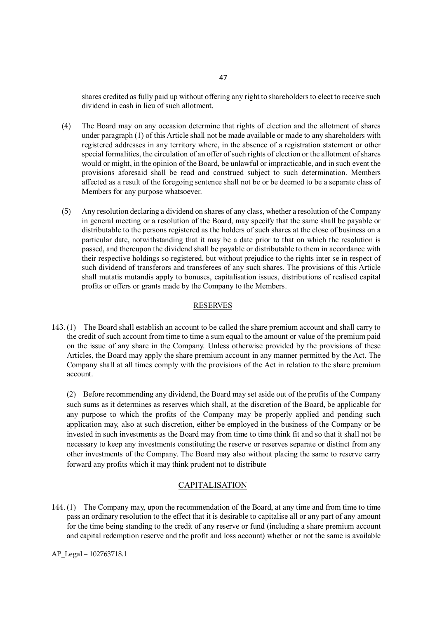shares credited as fully paid up without offering any right to shareholders to elect to receive such dividend in cash in lieu of such allotment.

- (4) The Board may on any occasion determine that rights of election and the allotment of shares under paragraph (1) of this Article shall not be made available or made to any shareholders with registered addresses in any territory where, in the absence of a registration statement or other special formalities, the circulation of an offer of such rights of election or the allotment of shares would or might, in the opinion of the Board, be unlawful or impracticable, and in such event the provisions aforesaid shall be read and construed subject to such determination. Members affected as a result of the foregoing sentence shall not be or be deemed to be a separate class of Members for any purpose whatsoever.
- (5) Any resolution declaring a dividend on shares of any class, whether a resolution of the Company in general meeting or a resolution of the Board, may specify that the same shall be payable or distributable to the persons registered as the holders of such shares at the close of business on a particular date, notwithstanding that it may be a date prior to that on which the resolution is passed, and thereupon the dividend shall be payable or distributable to them in accordance with their respective holdings so registered, but without prejudice to the rights inter se in respect of such dividend of transferors and transferees of any such shares. The provisions of this Article shall mutatis mutandis apply to bonuses, capitalisation issues, distributions of realised capital profits or offers or grants made by the Company to the Members.

#### RESERVES

143. (1) The Board shall establish an account to be called the share premium account and shall carry to the credit of such account from time to time a sum equal to the amount or value of the premium paid on the issue of any share in the Company. Unless otherwise provided by the provisions of these Articles, the Board may apply the share premium account in any manner permitted by the Act. The Company shall at all times comply with the provisions of the Act in relation to the share premium account.

(2) Before recommending any dividend, the Board may set aside out of the profits of the Company such sums as it determines as reserves which shall, at the discretion of the Board, be applicable for any purpose to which the profits of the Company may be properly applied and pending such application may, also at such discretion, either be employed in the business of the Company or be invested in such investments as the Board may from time to time think fit and so that it shall not be necessary to keep any investments constituting the reserve or reserves separate or distinct from any other investments of the Company. The Board may also without placing the same to reserve carry forward any profits which it may think prudent not to distribute

#### CAPITALISATION

144. (1) The Company may, upon the recommendation of the Board, at any time and from time to time pass an ordinary resolution to the effect that it is desirable to capitalise all or any part of any amount for the time being standing to the credit of any reserve or fund (including a share premium account and capital redemption reserve and the profit and loss account) whether or not the same is available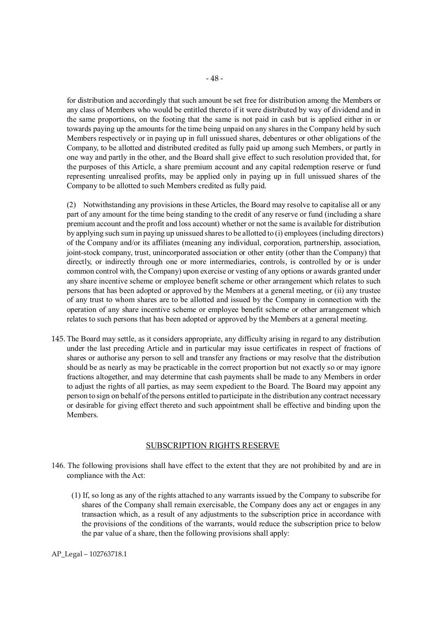for distribution and accordingly that such amount be set free for distribution among the Members or any class of Members who would be entitled thereto if it were distributed by way of dividend and in the same proportions, on the footing that the same is not paid in cash but is applied either in or towards paying up the amounts for the time being unpaid on any shares in the Company held by such Members respectively or in paying up in full unissued shares, debentures or other obligations of the Company, to be allotted and distributed credited as fully paid up among such Members, or partly in one way and partly in the other, and the Board shall give effect to such resolution provided that, for the purposes of this Article, a share premium account and any capital redemption reserve or fund representing unrealised profits, may be applied only in paying up in full unissued shares of the Company to be allotted to such Members credited as fully paid.

(2) Notwithstanding any provisions in these Articles, the Board may resolve to capitalise all or any part of any amount for the time being standing to the credit of any reserve or fund (including a share premium account and the profit and loss account) whether or not the same is available for distribution by applying such sum in paying up unissued shares to be allotted to (i) employees (including directors) of the Company and/or its affiliates (meaning any individual, corporation, partnership, association, joint-stock company, trust, unincorporated association or other entity (other than the Company) that directly, or indirectly through one or more intermediaries, controls, is controlled by or is under common control with, the Company) upon exercise or vesting of any options or awards granted under any share incentive scheme or employee benefit scheme or other arrangement which relates to such persons that has been adopted or approved by the Members at a general meeting, or (ii) any trustee of any trust to whom shares are to be allotted and issued by the Company in connection with the operation of any share incentive scheme or employee benefit scheme or other arrangement which relates to such persons that has been adopted or approved by the Members at a general meeting.

145. The Board may settle, as it considers appropriate, any difficulty arising in regard to any distribution under the last preceding Article and in particular may issue certificates in respect of fractions of shares or authorise any person to sell and transfer any fractions or may resolve that the distribution should be as nearly as may be practicable in the correct proportion but not exactly so or may ignore fractions altogether, and may determine that cash payments shall be made to any Members in order to adjust the rights of all parties, as may seem expedient to the Board. The Board may appoint any person to sign on behalf of the persons entitled to participate in the distribution any contract necessary or desirable for giving effect thereto and such appointment shall be effective and binding upon the Members.

#### SUBSCRIPTION RIGHTS RESERVE

- 146. The following provisions shall have effect to the extent that they are not prohibited by and are in compliance with the Act:
	- (1) If, so long as any of the rights attached to any warrants issued by the Company to subscribe for shares of the Company shall remain exercisable, the Company does any act or engages in any transaction which, as a result of any adjustments to the subscription price in accordance with the provisions of the conditions of the warrants, would reduce the subscription price to below the par value of a share, then the following provisions shall apply: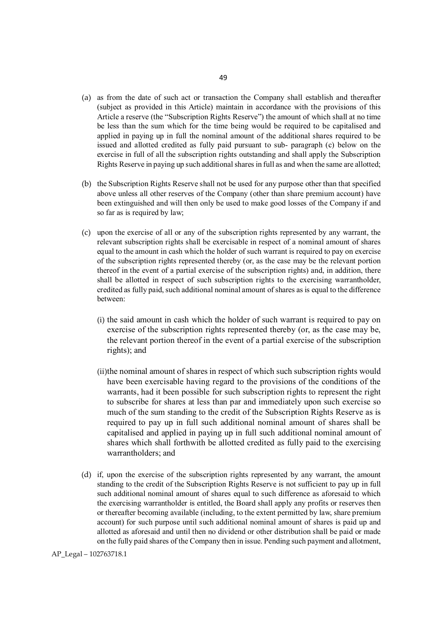- (a) as from the date of such act or transaction the Company shall establish and thereafter (subject as provided in this Article) maintain in accordance with the provisions of this Article a reserve (the "Subscription Rights Reserve") the amount of which shall at no time be less than the sum which for the time being would be required to be capitalised and applied in paying up in full the nominal amount of the additional shares required to be issued and allotted credited as fully paid pursuant to sub- paragraph (c) below on the exercise in full of all the subscription rights outstanding and shall apply the Subscription Rights Reserve in paying up such additional shares in full as and when the same are allotted;
- (b) the Subscription Rights Reserve shall not be used for any purpose other than that specified above unless all other reserves of the Company (other than share premium account) have been extinguished and will then only be used to make good losses of the Company if and so far as is required by law;
- (c) upon the exercise of all or any of the subscription rights represented by any warrant, the relevant subscription rights shall be exercisable in respect of a nominal amount of shares equal to the amount in cash which the holder of such warrant is required to pay on exercise of the subscription rights represented thereby (or, as the case may be the relevant portion thereof in the event of a partial exercise of the subscription rights) and, in addition, there shall be allotted in respect of such subscription rights to the exercising warrantholder, credited as fully paid, such additional nominal amount of shares as is equal to the difference between:
	- (i) the said amount in cash which the holder of such warrant is required to pay on exercise of the subscription rights represented thereby (or, as the case may be, the relevant portion thereof in the event of a partial exercise of the subscription rights); and
	- (ii)the nominal amount of shares in respect of which such subscription rights would have been exercisable having regard to the provisions of the conditions of the warrants, had it been possible for such subscription rights to represent the right to subscribe for shares at less than par and immediately upon such exercise so much of the sum standing to the credit of the Subscription Rights Reserve as is required to pay up in full such additional nominal amount of shares shall be capitalised and applied in paying up in full such additional nominal amount of shares which shall forthwith be allotted credited as fully paid to the exercising warrantholders; and
- (d) if, upon the exercise of the subscription rights represented by any warrant, the amount standing to the credit of the Subscription Rights Reserve is not sufficient to pay up in full such additional nominal amount of shares equal to such difference as aforesaid to which the exercising warrantholder is entitled, the Board shall apply any profits or reserves then or thereafter becoming available (including, to the extent permitted by law, share premium account) for such purpose until such additional nominal amount of shares is paid up and allotted as aforesaid and until then no dividend or other distribution shall be paid or made on the fully paid shares of the Company then in issue. Pending such payment and allotment,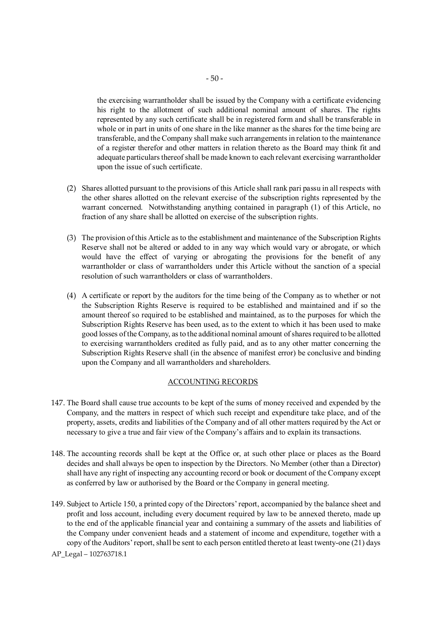the exercising warrantholder shall be issued by the Company with a certificate evidencing his right to the allotment of such additional nominal amount of shares. The rights represented by any such certificate shall be in registered form and shall be transferable in whole or in part in units of one share in the like manner as the shares for the time being are transferable, and the Company shall make such arrangements in relation to the maintenance of a register therefor and other matters in relation thereto as the Board may think fit and adequate particulars thereof shall be made known to each relevant exercising warrantholder upon the issue of such certificate.

- (2) Shares allotted pursuant to the provisions of this Article shall rank pari passu in all respects with the other shares allotted on the relevant exercise of the subscription rights represented by the warrant concerned. Notwithstanding anything contained in paragraph (1) of this Article, no fraction of any share shall be allotted on exercise of the subscription rights.
- (3) The provision of this Article as to the establishment and maintenance of the Subscription Rights Reserve shall not be altered or added to in any way which would vary or abrogate, or which would have the effect of varying or abrogating the provisions for the benefit of any warrantholder or class of warrantholders under this Article without the sanction of a special resolution of such warrantholders or class of warrantholders.
- (4) A certificate or report by the auditors for the time being of the Company as to whether or not the Subscription Rights Reserve is required to be established and maintained and if so the amount thereof so required to be established and maintained, as to the purposes for which the Subscription Rights Reserve has been used, as to the extent to which it has been used to make good losses of the Company, as to the additional nominal amount of shares required to be allotted to exercising warrantholders credited as fully paid, and as to any other matter concerning the Subscription Rights Reserve shall (in the absence of manifest error) be conclusive and binding upon the Company and all warrantholders and shareholders.

# ACCOUNTING RECORDS

- 147. The Board shall cause true accounts to be kept of the sums of money received and expended by the Company, and the matters in respect of which such receipt and expenditure take place, and of the property, assets, credits and liabilities of the Company and of all other matters required by the Act or necessary to give a true and fair view of the Company's affairs and to explain its transactions.
- 148. The accounting records shall be kept at the Office or, at such other place or places as the Board decides and shall always be open to inspection by the Directors. No Member (other than a Director) shall have any right of inspecting any accounting record or book or document of the Company except as conferred by law or authorised by the Board or the Company in general meeting.
- 149. Subject to Article 150, a printed copy of the Directors' report, accompanied by the balance sheet and profit and loss account, including every document required by law to be annexed thereto, made up to the end of the applicable financial year and containing a summary of the assets and liabilities of the Company under convenient heads and a statement of income and expenditure, together with a copy of the Auditors' report, shall be sent to each person entitled thereto at least twenty-one (21) days

AP\_Legal – 102763718.1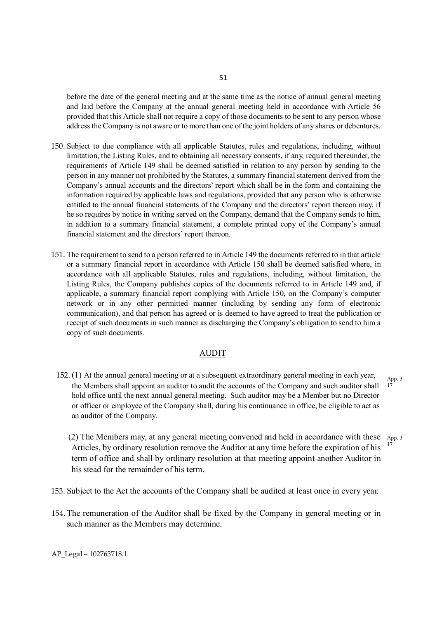before the date of the general meeting and at the same time as the notice of annual general meeting and laid before the Company at the annual general meeting held in accordance with Article 56 provided that this Article shall not require a copy of those documents to be sent to any person whose address the Company is not aware or to more than one of the joint holders of any shares or debentures.

- 150. Subject to due compliance with all applicable Statutes, rules and regulations, including, without limitation, the Listing Rules, and to obtaining all necessary consents, if any, required thereunder, the requirements of Article 149 shall be deemed satisfied in relation to any person by sending to the person in any manner not prohibited by the Statutes, a summary financial statement derived from the Company's annual accounts and the directors' report which shall be in the form and containing the information required by applicable laws and regulations, provided that any person who is otherwise entitled to the annual financial statements of the Company and the directors' report thereon may, if he so requires by notice in writing served on the Company, demand that the Company sends to him, in addition to a summary financial statement, a complete printed copy of the Company's annual financial statement and the directors' report thereon.
- 151. The requirement to send to a person referred to in Article 149 the documents referred to in that article or a summary financial report in accordance with Article 150 shall be deemed satisfied where, in accordance with all applicable Statutes, rules and regulations, including, without limitation, the Listing Rules, the Company publishes copies of the documents referred to in Article 149 and, if applicable, a summary financial report complying with Article 150, on the Company's computer network or in any other permitted manner (including by sending any form of electronic communication), and that person has agreed or is deemed to have agreed to treat the publication or receipt of such documents in such manner as discharging the Company's obligation to send to him a copy of such documents.

#### AUDIT

152. (1) At the annual general meeting or at a subsequent extraordinary general meeting in each year, the Members shall appoint an auditor to audit the accounts of the Company and such auditor shall hold office until the next annual general meeting. Such auditor may be a Member but no Director or officer or employee of the Company shall, during his continuance in office, be eligible to act as an auditor of the Company.

App. 3 17

(2) The Members may, at any general meeting convened and held in accordance with these App. 3 Articles, by ordinary resolution remove the Auditor at any time before the expiration of his  $17$ term of office and shall by ordinary resolution at that meeting appoint another Auditor in his stead for the remainder of his term.

- 153. Subject to the Act the accounts of the Company shall be audited at least once in every year.
- 154. The remuneration of the Auditor shall be fixed by the Company in general meeting or in such manner as the Members may determine.

AP\_Legal – 102763718.1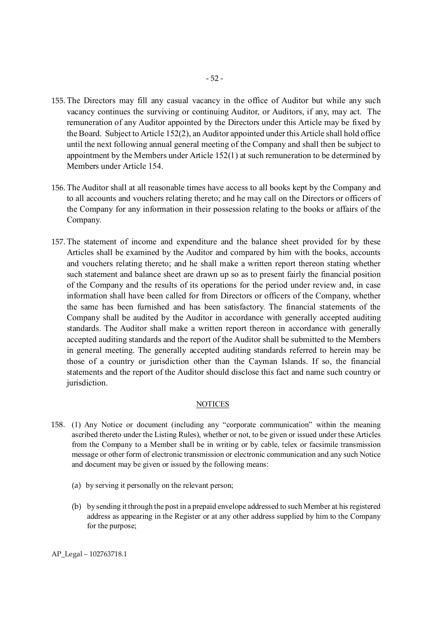- 155. The Directors may fill any casual vacancy in the office of Auditor but while any such vacancy continues the surviving or continuing Auditor, or Auditors, if any, may act. The remuneration of any Auditor appointed by the Directors under this Article may be fixed by the Board. Subject to Article 152(2), an Auditor appointed under this Article shall hold office until the next following annual general meeting of the Company and shall then be subject to appointment by the Members under Article 152(1) at such remuneration to be determined by Members under Article 154.
- 156. The Auditor shall at all reasonable times have access to all books kept by the Company and to all accounts and vouchers relating thereto; and he may call on the Directors or officers of the Company for any information in their possession relating to the books or affairs of the Company.
- 157. The statement of income and expenditure and the balance sheet provided for by these Articles shall be examined by the Auditor and compared by him with the books, accounts and vouchers relating thereto; and he shall make a written report thereon stating whether such statement and balance sheet are drawn up so as to present fairly the financial position of the Company and the results of its operations for the period under review and, in case information shall have been called for from Directors or officers of the Company, whether the same has been furnished and has been satisfactory. The financial statements of the Company shall be audited by the Auditor in accordance with generally accepted auditing standards. The Auditor shall make a written report thereon in accordance with generally accepted auditing standards and the report of the Auditor shall be submitted to the Members in general meeting. The generally accepted auditing standards referred to herein may be those of a country or jurisdiction other than the Cayman Islands. If so, the financial statements and the report of the Auditor should disclose this fact and name such country or jurisdiction.

# NOTICES

- 158. (1) Any Notice or document (including any "corporate communication" within the meaning ascribed thereto under the Listing Rules), whether or not, to be given or issued under these Articles from the Company to a Member shall be in writing or by cable, telex or facsimile transmission message or other form of electronic transmission or electronic communication and any such Notice and document may be given or issued by the following means:
	- (a) by serving it personally on the relevant person;
	- (b) by sending it through the post in a prepaid envelope addressed to such Member at his registered address as appearing in the Register or at any other address supplied by him to the Company for the purpose;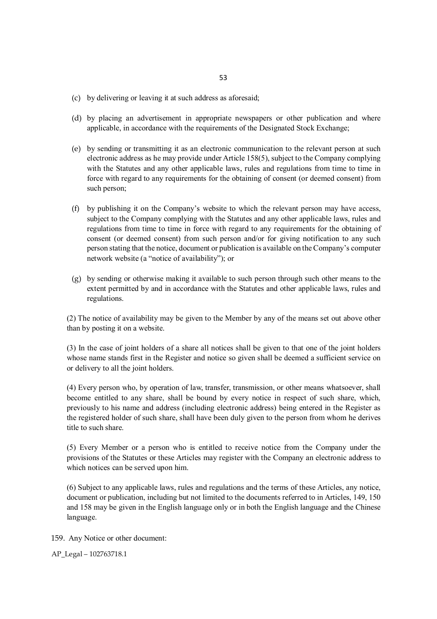- 53
- (c) by delivering or leaving it at such address as aforesaid;
- (d) by placing an advertisement in appropriate newspapers or other publication and where applicable, in accordance with the requirements of the Designated Stock Exchange;
- (e) by sending or transmitting it as an electronic communication to the relevant person at such electronic address as he may provide under Article 158(5), subject to the Company complying with the Statutes and any other applicable laws, rules and regulations from time to time in force with regard to any requirements for the obtaining of consent (or deemed consent) from such person;
- (f) by publishing it on the Company's website to which the relevant person may have access, subject to the Company complying with the Statutes and any other applicable laws, rules and regulations from time to time in force with regard to any requirements for the obtaining of consent (or deemed consent) from such person and/or for giving notification to any such person stating that the notice, document or publication is available on the Company's computer network website (a "notice of availability"); or
- (g) by sending or otherwise making it available to such person through such other means to the extent permitted by and in accordance with the Statutes and other applicable laws, rules and regulations.

(2) The notice of availability may be given to the Member by any of the means set out above other than by posting it on a website.

(3) In the case of joint holders of a share all notices shall be given to that one of the joint holders whose name stands first in the Register and notice so given shall be deemed a sufficient service on or delivery to all the joint holders.

(4) Every person who, by operation of law, transfer, transmission, or other means whatsoever, shall become entitled to any share, shall be bound by every notice in respect of such share, which, previously to his name and address (including electronic address) being entered in the Register as the registered holder of such share, shall have been duly given to the person from whom he derives title to such share.

(5) Every Member or a person who is entitled to receive notice from the Company under the provisions of the Statutes or these Articles may register with the Company an electronic address to which notices can be served upon him.

(6) Subject to any applicable laws, rules and regulations and the terms of these Articles, any notice, document or publication, including but not limited to the documents referred to in Articles, 149, 150 and 158 may be given in the English language only or in both the English language and the Chinese language.

- 159. Any Notice or other document:
- AP\_Legal 102763718.1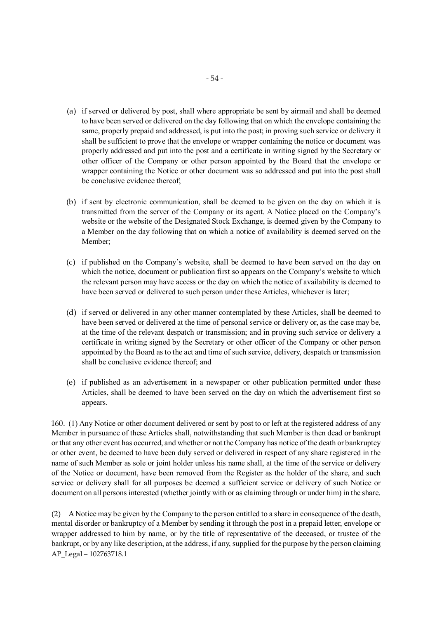- (a) if served or delivered by post, shall where appropriate be sent by airmail and shall be deemed to have been served or delivered on the day following that on which the envelope containing the same, properly prepaid and addressed, is put into the post; in proving such service or delivery it shall be sufficient to prove that the envelope or wrapper containing the notice or document was properly addressed and put into the post and a certificate in writing signed by the Secretary or other officer of the Company or other person appointed by the Board that the envelope or wrapper containing the Notice or other document was so addressed and put into the post shall be conclusive evidence thereof;
- (b) if sent by electronic communication, shall be deemed to be given on the day on which it is transmitted from the server of the Company or its agent. A Notice placed on the Company's website or the website of the Designated Stock Exchange, is deemed given by the Company to a Member on the day following that on which a notice of availability is deemed served on the Member;
- (c) if published on the Company's website, shall be deemed to have been served on the day on which the notice, document or publication first so appears on the Company's website to which the relevant person may have access or the day on which the notice of availability is deemed to have been served or delivered to such person under these Articles, whichever is later;
- (d) if served or delivered in any other manner contemplated by these Articles, shall be deemed to have been served or delivered at the time of personal service or delivery or, as the case may be, at the time of the relevant despatch or transmission; and in proving such service or delivery a certificate in writing signed by the Secretary or other officer of the Company or other person appointed by the Board as to the act and time of such service, delivery, despatch or transmission shall be conclusive evidence thereof; and
- (e) if published as an advertisement in a newspaper or other publication permitted under these Articles, shall be deemed to have been served on the day on which the advertisement first so appears.

160. (1) Any Notice or other document delivered or sent by post to or left at the registered address of any Member in pursuance of these Articles shall, notwithstanding that such Member is then dead or bankrupt or that any other event has occurred, and whether or not the Company has notice of the death or bankruptcy or other event, be deemed to have been duly served or delivered in respect of any share registered in the name of such Member as sole or joint holder unless his name shall, at the time of the service or delivery of the Notice or document, have been removed from the Register as the holder of the share, and such service or delivery shall for all purposes be deemed a sufficient service or delivery of such Notice or document on all persons interested (whether jointly with or as claiming through or under him) in the share.

AP\_Legal – 102763718.1 (2) A Notice may be given by the Company to the person entitled to a share in consequence of the death, mental disorder or bankruptcy of a Member by sending it through the post in a prepaid letter, envelope or wrapper addressed to him by name, or by the title of representative of the deceased, or trustee of the bankrupt, or by any like description, at the address, if any, supplied for the purpose by the person claiming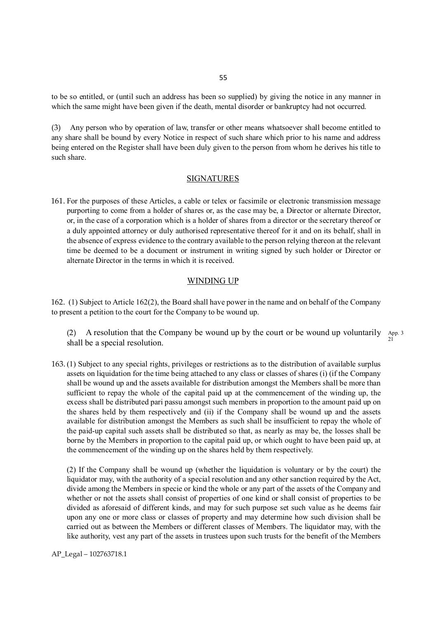to be so entitled, or (until such an address has been so supplied) by giving the notice in any manner in which the same might have been given if the death, mental disorder or bankruptcy had not occurred.

(3) Any person who by operation of law, transfer or other means whatsoever shall become entitled to any share shall be bound by every Notice in respect of such share which prior to his name and address being entered on the Register shall have been duly given to the person from whom he derives his title to such share.

#### SIGNATURES

161. For the purposes of these Articles, a cable or telex or facsimile or electronic transmission message purporting to come from a holder of shares or, as the case may be, a Director or alternate Director, or, in the case of a corporation which is a holder of shares from a director or the secretary thereof or a duly appointed attorney or duly authorised representative thereof for it and on its behalf, shall in the absence of express evidence to the contrary available to the person relying thereon at the relevant time be deemed to be a document or instrument in writing signed by such holder or Director or alternate Director in the terms in which it is received.

#### WINDING UP

162. (1) Subject to Article 162(2), the Board shall have power in the name and on behalf of the Company to present a petition to the court for the Company to be wound up.

(2) A resolution that the Company be wound up by the court or be wound up voluntarily App. 3 shall be a special resolution. 21

163. (1) Subject to any special rights, privileges or restrictions as to the distribution of available surplus assets on liquidation for the time being attached to any class or classes of shares (i) (if the Company shall be wound up and the assets available for distribution amongst the Members shall be more than sufficient to repay the whole of the capital paid up at the commencement of the winding up, the excess shall be distributed pari passu amongst such members in proportion to the amount paid up on the shares held by them respectively and (ii) if the Company shall be wound up and the assets available for distribution amongst the Members as such shall be insufficient to repay the whole of the paid-up capital such assets shall be distributed so that, as nearly as may be, the losses shall be borne by the Members in proportion to the capital paid up, or which ought to have been paid up, at the commencement of the winding up on the shares held by them respectively.

(2) If the Company shall be wound up (whether the liquidation is voluntary or by the court) the liquidator may, with the authority of a special resolution and any other sanction required by the Act, divide among the Members in specie or kind the whole or any part of the assets of the Company and whether or not the assets shall consist of properties of one kind or shall consist of properties to be divided as aforesaid of different kinds, and may for such purpose set such value as he deems fair upon any one or more class or classes of property and may determine how such division shall be carried out as between the Members or different classes of Members. The liquidator may, with the like authority, vest any part of the assets in trustees upon such trusts for the benefit of the Members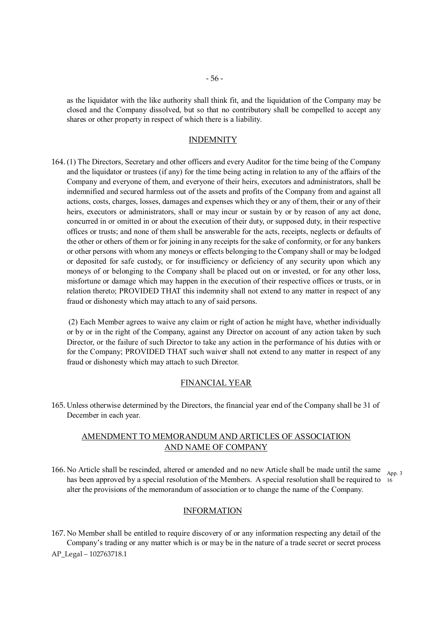as the liquidator with the like authority shall think fit, and the liquidation of the Company may be closed and the Company dissolved, but so that no contributory shall be compelled to accept any shares or other property in respect of which there is a liability.

#### INDEMNITY

164. (1) The Directors, Secretary and other officers and every Auditor for the time being of the Company and the liquidator or trustees (if any) for the time being acting in relation to any of the affairs of the Company and everyone of them, and everyone of their heirs, executors and administrators, shall be indemnified and secured harmless out of the assets and profits of the Company from and against all actions, costs, charges, losses, damages and expenses which they or any of them, their or any of their heirs, executors or administrators, shall or may incur or sustain by or by reason of any act done, concurred in or omitted in or about the execution of their duty, or supposed duty, in their respective offices or trusts; and none of them shall be answerable for the acts, receipts, neglects or defaults of the other or others of them or for joining in any receipts for the sake of conformity, or for any bankers or other persons with whom any moneys or effects belonging to the Company shall or may be lodged or deposited for safe custody, or for insufficiency or deficiency of any security upon which any moneys of or belonging to the Company shall be placed out on or invested, or for any other loss, misfortune or damage which may happen in the execution of their respective offices or trusts, or in relation thereto; PROVIDED THAT this indemnity shall not extend to any matter in respect of any fraud or dishonesty which may attach to any of said persons.

(2) Each Member agrees to waive any claim or right of action he might have, whether individually or by or in the right of the Company, against any Director on account of any action taken by such Director, or the failure of such Director to take any action in the performance of his duties with or for the Company; PROVIDED THAT such waiver shall not extend to any matter in respect of any fraud or dishonesty which may attach to such Director.

#### FINANCIAL YEAR

165. Unless otherwise determined by the Directors, the financial year end of the Company shall be 31 of December in each year.

# AMENDMENT TO MEMORANDUM AND ARTICLES OF ASSOCIATION AND NAME OF COMPANY

166. No Article shall be rescinded, altered or amended and no new Article shall be made until the same <sub>App. 3</sub> has been approved by a special resolution of the Members. A special resolution shall be required to  $_{16}$ alter the provisions of the memorandum of association or to change the name of the Company.

# INFORMATION

167. No Member shall be entitled to require discovery of or any information respecting any detail of the Company's trading or any matter which is or may be in the nature of a trade secret or secret process